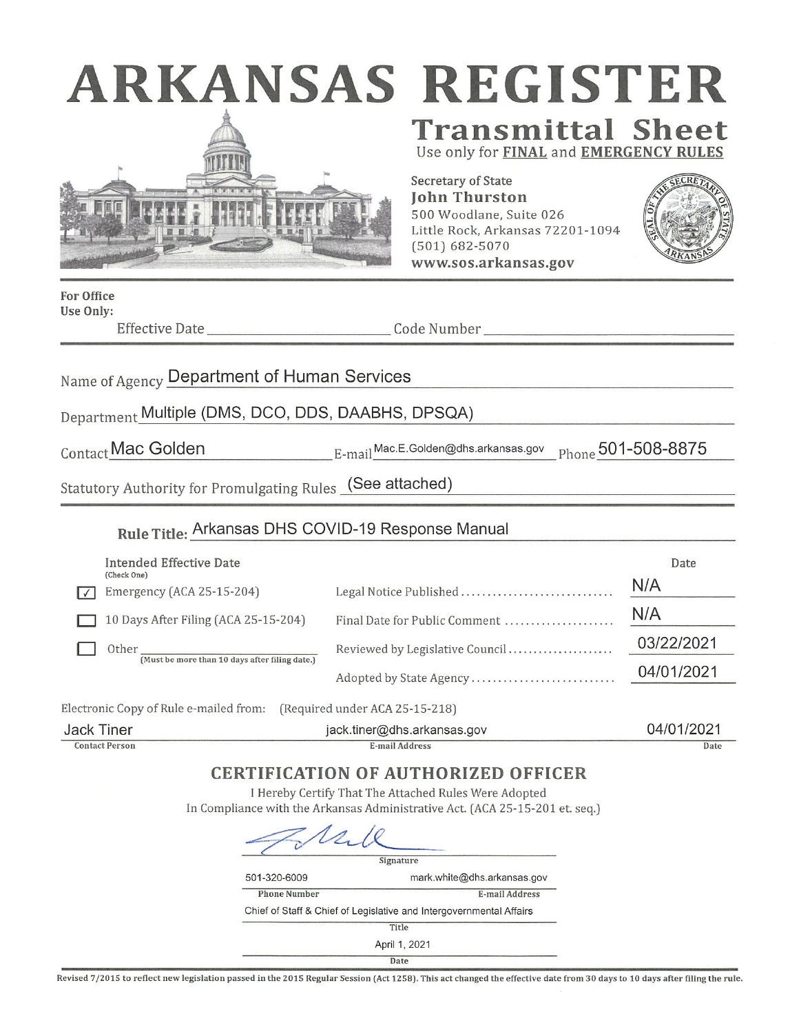| ARKANSAS REGISTER                                         |                                                                                                                                                         |      |
|-----------------------------------------------------------|---------------------------------------------------------------------------------------------------------------------------------------------------------|------|
|                                                           | <b>Transmittal Sheet</b><br>Use only for FINAL and EMERGENCY RULES                                                                                      |      |
|                                                           | Secretary of State<br><b>John Thurston</b><br>500 Woodlane, Suite 026<br>Little Rock, Arkansas 72201-1094<br>$(501) 682 - 5070$<br>www.sos.arkansas.gov |      |
| <b>For Office</b><br>Use Only:<br>Effective Date          |                                                                                                                                                         |      |
| Name of Agency Department of Human Services               |                                                                                                                                                         |      |
| Department Multiple (DMS, DCO, DDS, DAABHS, DPSQA)        |                                                                                                                                                         |      |
| Contact Mac Golden                                        | $\text{E-mail}^\text{Mac.E.Golden@dhs.arkansas.gov}$ $_{\text{Phone}}$ $\text{501-508-8875}$                                                            |      |
| Statutory Authority for Promulgating Rules (See attached) |                                                                                                                                                         |      |
| Rule Title: Arkansas DHS COVID-19 Response Manual         |                                                                                                                                                         |      |
| <b>Intended Effective Date</b><br>(Check One)             |                                                                                                                                                         | Date |
| Emergency (ACA 25-15-204)                                 | Legal Notice Published                                                                                                                                  | N/A  |
| 10 Days After Filing (ACA 25-15-204)                      | Final Date for Public Comment                                                                                                                           | N/A  |

| Other<br>(Must be more than 10 days after filing date.) | Reviewed by Legislative Council |
|---------------------------------------------------------|---------------------------------|
|                                                         | Adopted by State Agency         |

Electronic Copy of Rule e-mailed from: (Required under ACA 25-15-218)

| Jack '<br><b>l</b> iner | jack.tiner@dhs.arkansas.gov | '2021<br>14/01 |
|-------------------------|-----------------------------|----------------|
| Contact Person          | :-mail Address              | Date           |

03/22/2021

04/01/2021

## **CERTIFICATION OF AUTHORIZED OFFICER**

I Hereby Certify That The Attached Rules Were Adopted In Compliance with the Arkansas Administrative Act. (ACA 25-15-201 et. seq.)

 $21218$ 

|                     | Signature                                                           |
|---------------------|---------------------------------------------------------------------|
| 501-320-6009        | mark.white@dhs.arkansas.gov                                         |
| <b>Phone Number</b> | E-mail Address                                                      |
|                     | Chief of Staff & Chief of Legislative and Intergovernmental Affairs |
|                     | Title                                                               |
|                     | April 1, 2021                                                       |
|                     | Date                                                                |

Revised 7/2015 to reflect new legislation passed in the 2015 Regular Session (Act 1258). This act changed the effective date from 30 days to 10 days after filing the rule.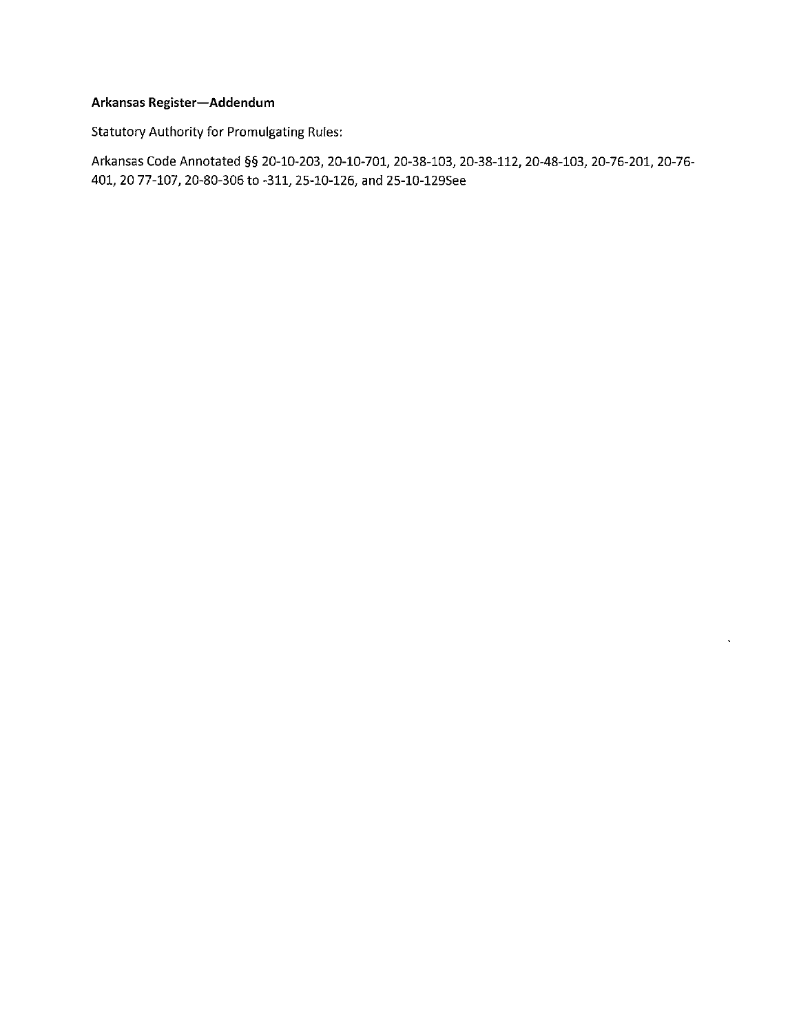## Arkansas Register-Addendum

**Statutory Authority for Promulgating Rules:** 

Arkansas Code Annotated §§ 20-10-203, 20-10-701, 20-38-103, 20-38-112, 20-48-103, 20-76-201, 20-76-401, 20 77-107, 20-80-306 to -311, 25-10-126, and 25-10-129See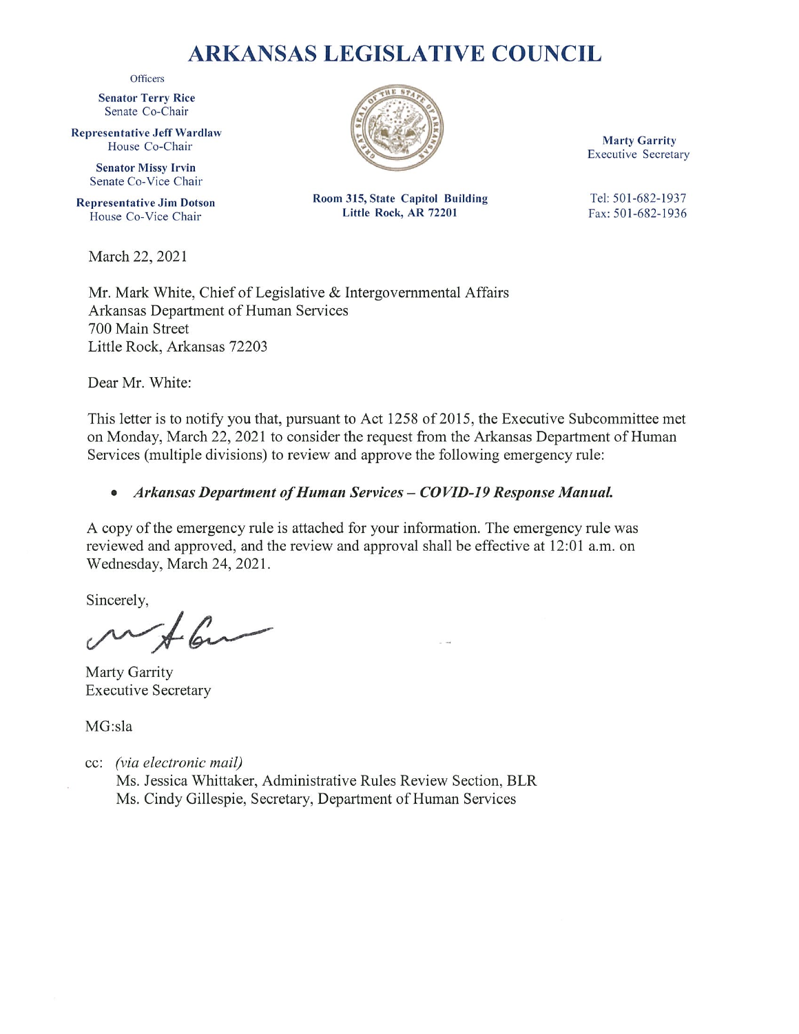# **ARKANSAS LEGISLATIVE COUNCIL**

Officers

**Senator Terry Rice** Senate Co-Chair

**Representative Jeff Wardlaw** House Co-Chair

> **Senator Missy Irvin** Senate Co-Vice Chair

**Representative Jim Dotson** House Co-Vice Chair

March 22, 2021



**Marty Garrity Executive Secretary** 

Room 315, State Capitol Building Little Rock, AR 72201

Tel: 501-682-1937 Fax: 501-682-1936

Mr. Mark White, Chief of Legislative & Intergovernmental Affairs Arkansas Department of Human Services 700 Main Street Little Rock, Arkansas 72203

Dear Mr. White:

This letter is to notify you that, pursuant to Act 1258 of 2015, the Executive Subcommittee met on Monday, March 22, 2021 to consider the request from the Arkansas Department of Human Services (multiple divisions) to review and approve the following emergency rule:

#### Arkansas Department of Human Services - COVID-19 Response Manual.  $\bullet$

A copy of the emergency rule is attached for your information. The emergency rule was reviewed and approved, and the review and approval shall be effective at 12:01 a.m. on Wednesday, March 24, 2021.

Sincerely,

Marty Garrity **Executive Secretary** 

MG:sla

cc: (via electronic mail)

Ms. Jessica Whittaker, Administrative Rules Review Section, BLR Ms. Cindy Gillespie, Secretary, Department of Human Services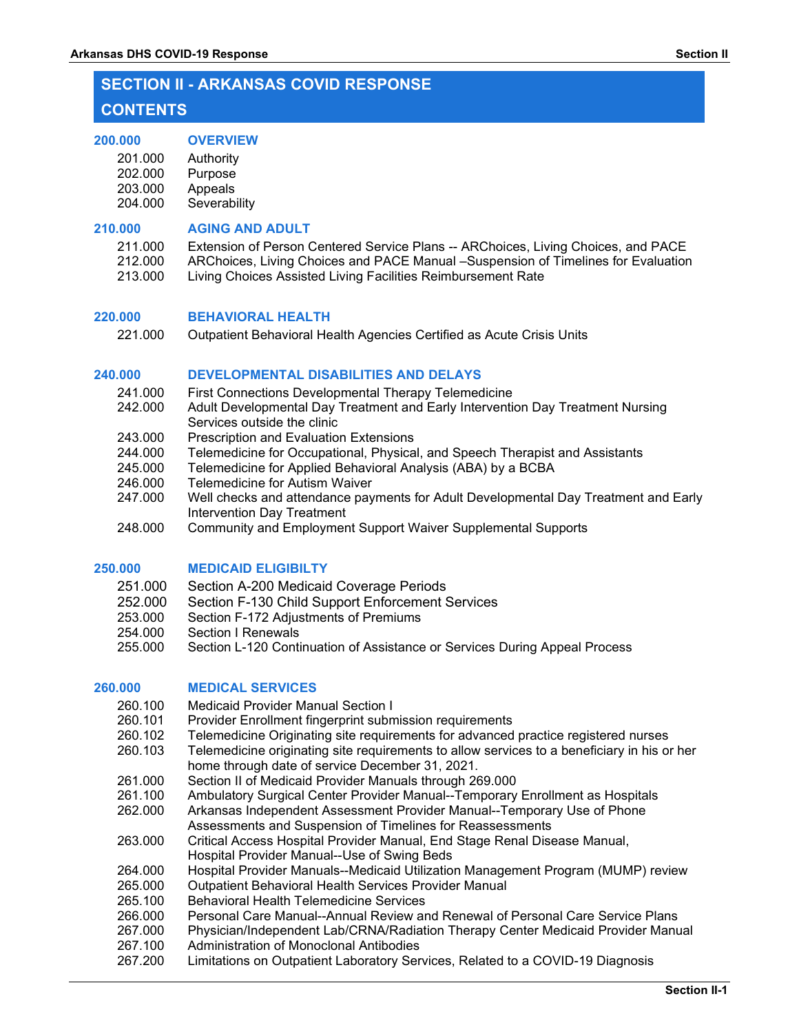# **SECTION II - ARKANSAS COVID RESPONSE**

## **CONTENTS**

#### **200.000 [OVERVIEW](#page-4-0)**

- 201.000 [Authority](#page-4-1)
- 202.000 [Purpose](#page-4-2)
- 203.000 [Appeals](#page-4-3)<br>204.000 Severab
- Severability

## **210.000 AGING AND ADULT**

| 211.000 | Extension of Person Centered Service Plans -- ARChoices, Living Choices, and PACE |
|---------|-----------------------------------------------------------------------------------|
| 212,000 | ARChoices, Living Choices and PACE Manual –Suspension of Timelines for Evaluation |
| 213,000 | Living Choices Assisted Living Facilities Reimbursement Rate                      |

## **220.000 BEHAVIORAL HEALTH**

221.000 Outpatient Behavioral Health Agencies Certified as Acute Crisis Units

## **240.000 DEVELOPMENTAL DISABILITIES AND DELAYS**

- 241.000 First Connections Developmental Therapy Telemedicine
- 242.000 Adult Developmental Day Treatment and Early Intervention Day Treatment Nursing Services outside the clinic
- 243.000 Prescription and Evaluation Extensions
- 244.000 Telemedicine for Occupational, Physical, and Speech Therapist and Assistants<br>245.000 Telemedicine for Applied Behavioral Analysis (ABA) by a BCBA
- Telemedicine for Applied Behavioral Analysis (ABA) by a BCBA
- 246.000 Telemedicine for Autism Waiver
- 247.000 Well checks and attendance payments for Adult Developmental Day Treatment and Early Intervention Day Treatment
- 248.000 Community and Employment Support Waiver Supplemental Supports

## **250.000 MEDICAID ELIGIBILTY**

- 251.000 Section A-200 Medicaid Coverage Periods
- 252.000 Section F-130 Child Support Enforcement Services<br>253.000 Section F-172 Adiustments of Premiums
- 253.000 Section F-172 Adjustments of Premiums<br>254.000 Section I Renewals
- Section I Renewals
- 255.000 Section L-120 Continuation of Assistance or Services During Appeal Process

## **260.000 MEDICAL SERVICES**

- 260.100 Medicaid Provider Manual Section I
- 260.101 Provider Enrollment fingerprint submission requirements
- 260.102 Telemedicine Originating site requirements for advanced practice registered nurses<br>260.103 Telemedicine originating site requirements to allow services to a beneficiary in his or
- Telemedicine originating site requirements to allow services to a beneficiary in his or her home through date of service December 31, 2021.
- 261.000 Section II of Medicaid Provider Manuals through 269.000
- 261.100 Ambulatory Surgical Center Provider Manual--Temporary Enrollment as Hospitals
- 262.000 Arkansas Independent Assessment Provider Manual--Temporary Use of Phone Assessments and Suspension of Timelines for Reassessments
- 263.000 Critical Access Hospital Provider Manual, End Stage Renal Disease Manual, Hospital Provider Manual--Use of Swing Beds
- 264.000 Hospital Provider Manuals--Medicaid Utilization Management Program (MUMP) review
- 265.000 Outpatient Behavioral Health Services Provider Manual
- 265.100 Behavioral Health Telemedicine Services
- 266.000 Personal Care Manual--Annual Review and Renewal of Personal Care Service Plans
- 267.000 Physician/Independent Lab/CRNA/Radiation Therapy Center Medicaid Provider Manual
- 267.100 Administration of Monoclonal Antibodies
- 267.200 Limitations on Outpatient Laboratory Services, Related to a COVID-19 Diagnosis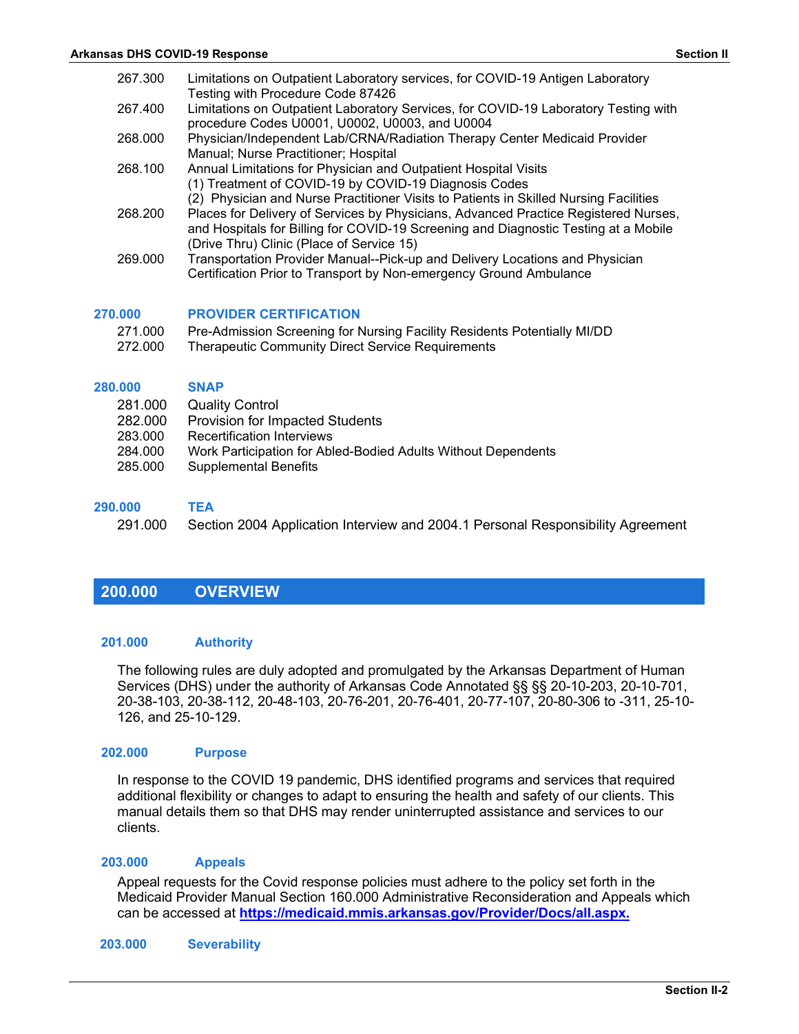| 267.300            | Limitations on Outpatient Laboratory services, for COVID-19 Antigen Laboratory<br>Testing with Procedure Code 87426                                                                                                     |
|--------------------|-------------------------------------------------------------------------------------------------------------------------------------------------------------------------------------------------------------------------|
| 267.400            | Limitations on Outpatient Laboratory Services, for COVID-19 Laboratory Testing with<br>procedure Codes U0001, U0002, U0003, and U0004                                                                                   |
| 268,000            | Physician/Independent Lab/CRNA/Radiation Therapy Center Medicaid Provider<br>Manual; Nurse Practitioner; Hospital                                                                                                       |
| 268.100            | Annual Limitations for Physician and Outpatient Hospital Visits<br>(1) Treatment of COVID-19 by COVID-19 Diagnosis Codes<br>(2) Physician and Nurse Practitioner Visits to Patients in Skilled Nursing Facilities       |
| 268,200            | Places for Delivery of Services by Physicians, Advanced Practice Registered Nurses,<br>and Hospitals for Billing for COVID-19 Screening and Diagnostic Testing at a Mobile<br>(Drive Thru) Clinic (Place of Service 15) |
| 269.000            | Transportation Provider Manual--Pick-up and Delivery Locations and Physician<br>Certification Prior to Transport by Non-emergency Ground Ambulance                                                                      |
| 270.000            | <b>PROVIDER CERTIFICATION</b>                                                                                                                                                                                           |
| 271.000<br>272.000 | Pre-Admission Screening for Nursing Facility Residents Potentially MI/DD<br>Therapeutic Community Direct Service Requirements                                                                                           |
| 280.000            | <b>SNAP</b>                                                                                                                                                                                                             |

- 281.000 Quality Control
- 
- 282.000 Provision for Impacted Students<br>283.000 Recertification Interviews **Recertification Interviews**
- 284.000 Work Participation for Abled-Bodied Adults Without Dependents
- 285.000 Supplemental Benefits

#### **290.000 TEA**

291.000 Section 2004 Application Interview and 2004.1 Personal Responsibility Agreement

## <span id="page-4-0"></span>**200.000 OVERVIEW**

#### <span id="page-4-1"></span>**201.000 Authority**

The following rules are duly adopted and promulgated by the Arkansas Department of Human Services (DHS) under the authority of Arkansas Code Annotated §§ §§ 20-10-203, 20-10-701, 20-38-103, 20-38-112, 20-48-103, 20-76-201, 20-76-401, 20-77-107, 20-80-306 to -311, 25-10- 126, and 25-10-129.

#### <span id="page-4-2"></span>**202.000 Purpose**

In response to the COVID 19 pandemic, DHS identified programs and services that required additional flexibility or changes to adapt to ensuring the health and safety of our clients. This manual details them so that DHS may render uninterrupted assistance and services to our clients.

#### <span id="page-4-3"></span>**203.000 Appeals**

Appeal requests for the Covid response policies must adhere to the policy set forth in the Medicaid Provider Manual Section 160.000 Administrative Reconsideration and Appeals which can be accessed at **<https://medicaid.mmis.arkansas.gov/Provider/Docs/all.aspx.>**

#### **203.000 Severability**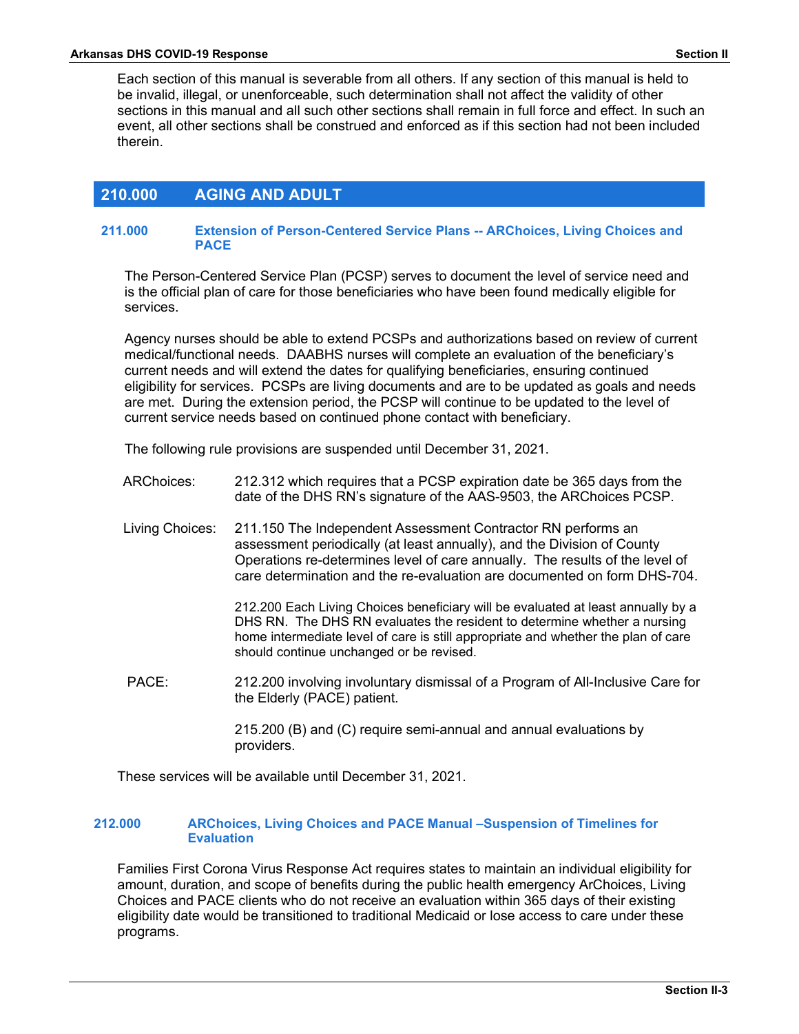Each section of this manual is severable from all others. If any section of this manual is held to be invalid, illegal, or unenforceable, such determination shall not affect the validity of other sections in this manual and all such other sections shall remain in full force and effect. In such an event, all other sections shall be construed and enforced as if this section had not been included therein.

## **210.000 AGING AND ADULT**

#### **211.000 Extension of Person-Centered Service Plans -- ARChoices, Living Choices and PACE**

The Person-Centered Service Plan (PCSP) serves to document the level of service need and is the official plan of care for those beneficiaries who have been found medically eligible for services.

Agency nurses should be able to extend PCSPs and authorizations based on review of current medical/functional needs. DAABHS nurses will complete an evaluation of the beneficiary's current needs and will extend the dates for qualifying beneficiaries, ensuring continued eligibility for services. PCSPs are living documents and are to be updated as goals and needs are met. During the extension period, the PCSP will continue to be updated to the level of current service needs based on continued phone contact with beneficiary.

The following rule provisions are suspended until December 31, 2021.

- ARChoices: 212.312 which requires that a PCSP expiration date be 365 days from the date of the DHS RN's signature of the AAS-9503, the ARChoices PCSP.
- Living Choices: 211.150 The Independent Assessment Contractor RN performs an assessment periodically (at least annually), and the Division of County Operations re-determines level of care annually. The results of the level of care determination and the re-evaluation are documented on form DHS-704.

212.200 Each Living Choices beneficiary will be evaluated at least annually by a DHS RN. The DHS RN evaluates the resident to determine whether a nursing home intermediate level of care is still appropriate and whether the plan of care should continue unchanged or be revised.

PACE: 212.200 involving involuntary dismissal of a Program of All-Inclusive Care for the Elderly (PACE) patient.

> 215.200 (B) and (C) require semi-annual and annual evaluations by providers.

These services will be available until December 31, 2021.

## **212.000 ARChoices, Living Choices and PACE Manual –Suspension of Timelines for Evaluation**

Families First Corona Virus Response Act requires states to maintain an individual eligibility for amount, duration, and scope of benefits during the public health emergency ArChoices, Living Choices and PACE clients who do not receive an evaluation within 365 days of their existing eligibility date would be transitioned to traditional Medicaid or lose access to care under these programs.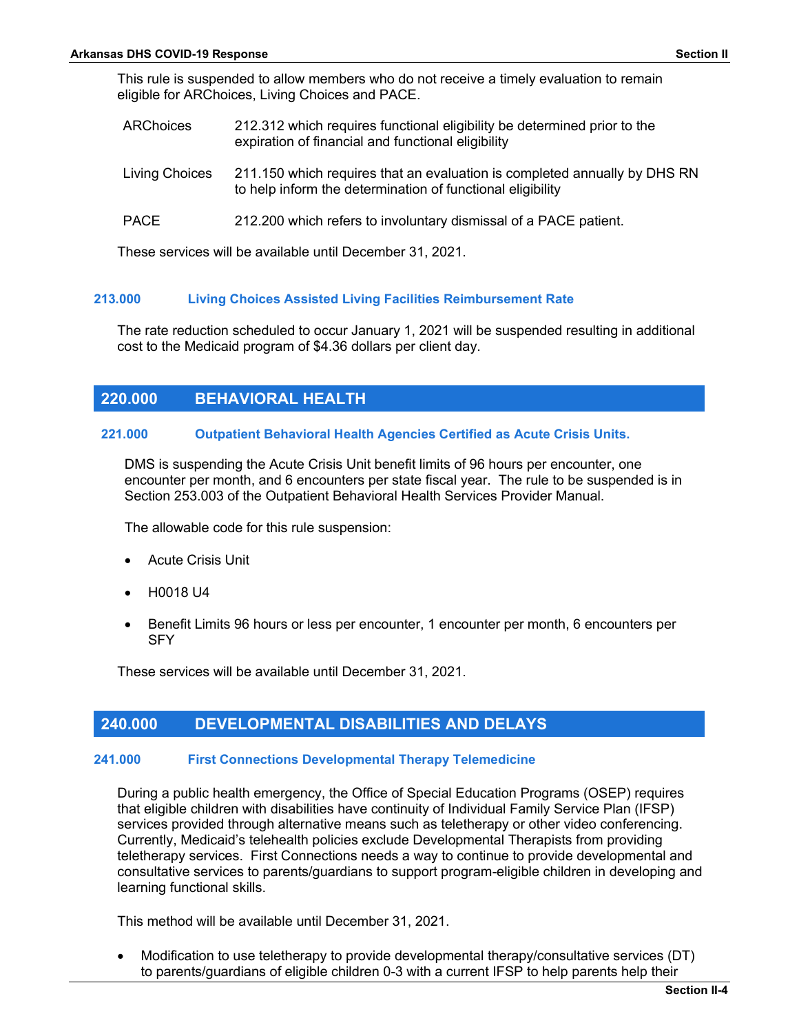This rule is suspended to allow members who do not receive a timely evaluation to remain eligible for ARChoices, Living Choices and PACE.

| <b>ARChoices</b> | 212.312 which requires functional eligibility be determined prior to the |
|------------------|--------------------------------------------------------------------------|
|                  | expiration of financial and functional eligibility                       |

- Living Choices 211.150 which requires that an evaluation is completed annually by DHS RN to help inform the determination of functional eligibility
- PACE 212.200 which refers to involuntary dismissal of a PACE patient.

These services will be available until December 31, 2021.

#### **213.000 Living Choices Assisted Living Facilities Reimbursement Rate**

The rate reduction scheduled to occur January 1, 2021 will be suspended resulting in additional cost to the Medicaid program of \$4.36 dollars per client day.

## **220.000 BEHAVIORAL HEALTH**

#### **221.000 Outpatient Behavioral Health Agencies Certified as Acute Crisis Units.**

DMS is suspending the Acute Crisis Unit benefit limits of 96 hours per encounter, one encounter per month, and 6 encounters per state fiscal year. The rule to be suspended is in Section 253.003 of the Outpatient Behavioral Health Services Provider Manual.

The allowable code for this rule suspension:

- Acute Crisis Unit
- H0018 U4
- Benefit Limits 96 hours or less per encounter, 1 encounter per month, 6 encounters per **SFY**

These services will be available until December 31, 2021.

## **240.000 DEVELOPMENTAL DISABILITIES AND DELAYS**

#### **241.000 First Connections Developmental Therapy Telemedicine**

During a public health emergency, the Office of Special Education Programs (OSEP) requires that eligible children with disabilities have continuity of Individual Family Service Plan (IFSP) services provided through alternative means such as teletherapy or other video conferencing. Currently, Medicaid's telehealth policies exclude Developmental Therapists from providing teletherapy services. First Connections needs a way to continue to provide developmental and consultative services to parents/guardians to support program-eligible children in developing and learning functional skills.

This method will be available until December 31, 2021.

• Modification to use teletherapy to provide developmental therapy/consultative services (DT) to parents/guardians of eligible children 0-3 with a current IFSP to help parents help their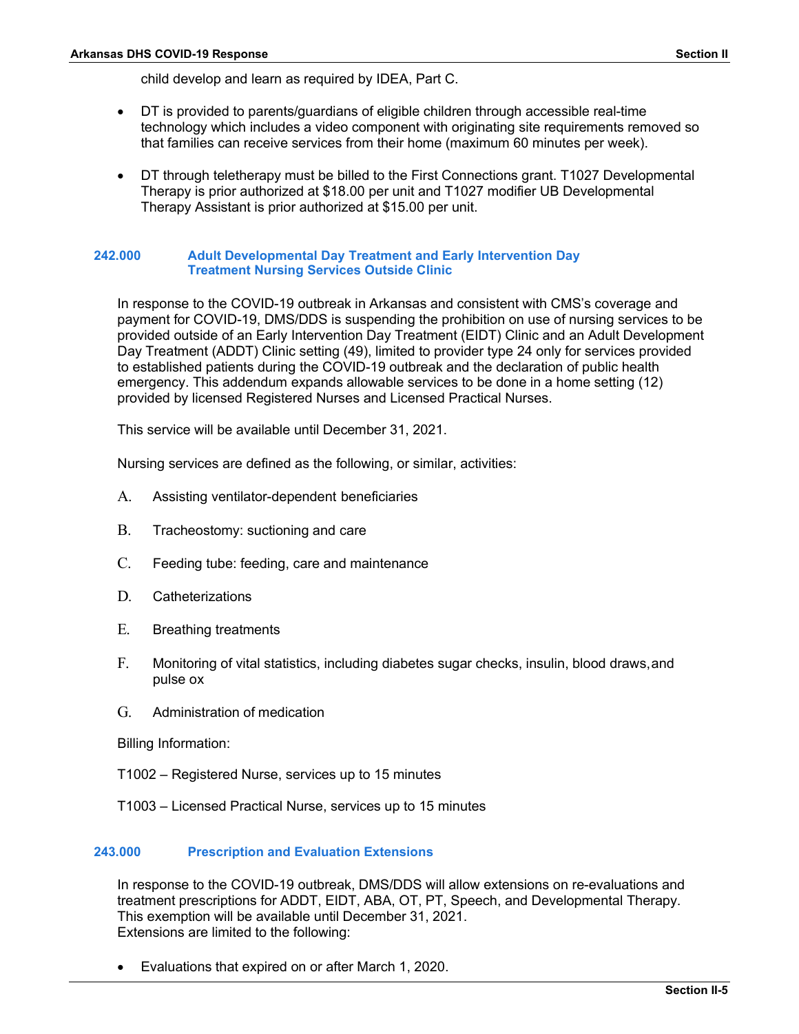child develop and learn as required by IDEA, Part C.

- DT is provided to parents/guardians of eligible children through accessible real-time technology which includes a video component with originating site requirements removed so that families can receive services from their home (maximum 60 minutes per week).
- DT through teletherapy must be billed to the First Connections grant. T1027 Developmental Therapy is prior authorized at \$18.00 per unit and T1027 modifier UB Developmental Therapy Assistant is prior authorized at \$15.00 per unit.

### **242.000 Adult Developmental Day Treatment and Early Intervention Day Treatment Nursing Services Outside Clinic**

In response to the COVID-19 outbreak in Arkansas and consistent with CMS's coverage and payment for COVID-19, DMS/DDS is suspending the prohibition on use of nursing services to be provided outside of an Early Intervention Day Treatment (EIDT) Clinic and an Adult Development Day Treatment (ADDT) Clinic setting (49), limited to provider type 24 only for services provided to established patients during the COVID-19 outbreak and the declaration of public health emergency. This addendum expands allowable services to be done in a home setting (12) provided by licensed Registered Nurses and Licensed Practical Nurses.

This service will be available until December 31, 2021.

Nursing services are defined as the following, or similar, activities:

- A. Assisting ventilator-dependent beneficiaries
- B. Tracheostomy: suctioning and care
- C. Feeding tube: feeding, care and maintenance
- D. Catheterizations
- E. Breathing treatments
- F. Monitoring of vital statistics, including diabetes sugar checks, insulin, blood draws,and pulse ox
- G. Administration of medication

Billing Information:

- T1002 Registered Nurse, services up to 15 minutes
- T1003 Licensed Practical Nurse, services up to 15 minutes

## **243.000 Prescription and Evaluation Extensions**

In response to the COVID-19 outbreak, DMS/DDS will allow extensions on re-evaluations and treatment prescriptions for ADDT, EIDT, ABA, OT, PT, Speech, and Developmental Therapy. This exemption will be available until December 31, 2021. Extensions are limited to the following:

• Evaluations that expired on or after March 1, 2020.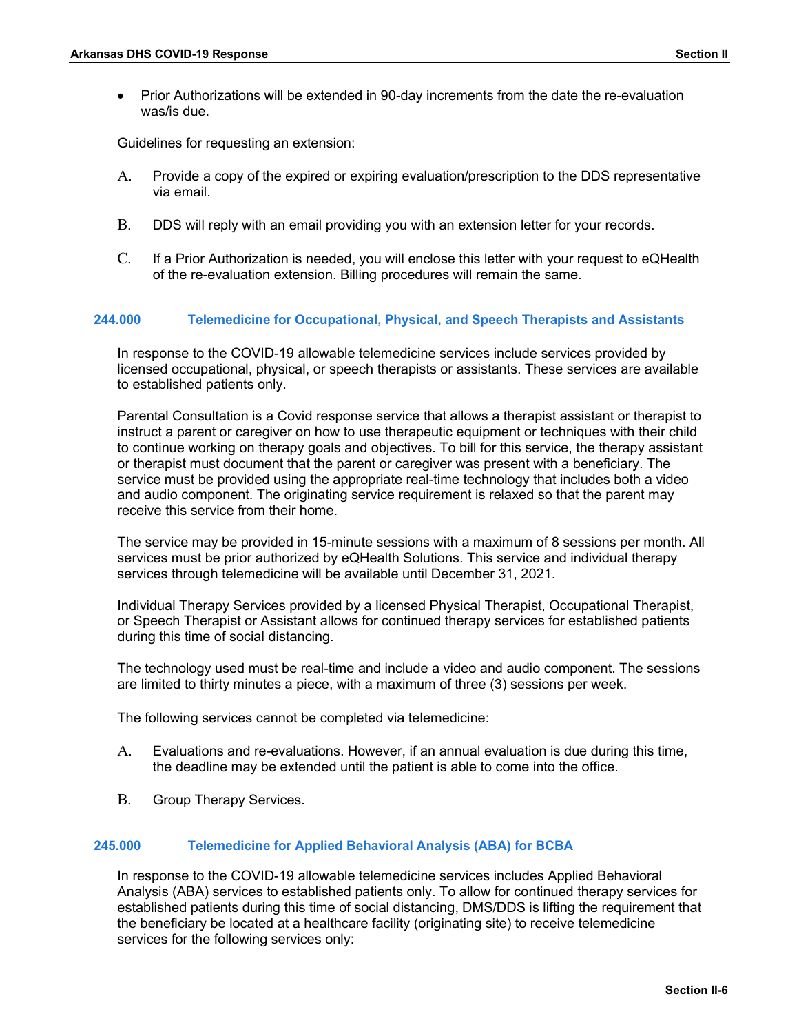• Prior Authorizations will be extended in 90-day increments from the date the re-evaluation was/is due.

Guidelines for requesting an extension:

- A. Provide a copy of the expired or expiring evaluation/prescription to the DDS representative via email.
- B. DDS will reply with an email providing you with an extension letter for your records.
- C. If a Prior Authorization is needed, you will enclose this letter with your request to eQHealth of the re-evaluation extension. Billing procedures will remain the same.

## **244.000 Telemedicine for Occupational, Physical, and Speech Therapists and Assistants**

In response to the COVID-19 allowable telemedicine services include services provided by licensed occupational, physical, or speech therapists or assistants. These services are available to established patients only.

Parental Consultation is a Covid response service that allows a therapist assistant or therapist to instruct a parent or caregiver on how to use therapeutic equipment or techniques with their child to continue working on therapy goals and objectives. To bill for this service, the therapy assistant or therapist must document that the parent or caregiver was present with a beneficiary. The service must be provided using the appropriate real-time technology that includes both a video and audio component. The originating service requirement is relaxed so that the parent may receive this service from their home.

The service may be provided in 15-minute sessions with a maximum of 8 sessions per month. All services must be prior authorized by eQHealth Solutions. This service and individual therapy services through telemedicine will be available until December 31, 2021.

Individual Therapy Services provided by a licensed Physical Therapist, Occupational Therapist, or Speech Therapist or Assistant allows for continued therapy services for established patients during this time of social distancing.

The technology used must be real-time and include a video and audio component. The sessions are limited to thirty minutes a piece, with a maximum of three (3) sessions per week.

The following services cannot be completed via telemedicine:

- A. Evaluations and re-evaluations. However, if an annual evaluation is due during this time, the deadline may be extended until the patient is able to come into the office.
- B. Group Therapy Services.

#### **245.000 Telemedicine for Applied Behavioral Analysis (ABA) for BCBA**

In response to the COVID-19 allowable telemedicine services includes Applied Behavioral Analysis (ABA) services to established patients only. To allow for continued therapy services for established patients during this time of social distancing, DMS/DDS is lifting the requirement that the beneficiary be located at a healthcare facility (originating site) to receive telemedicine services for the following services only: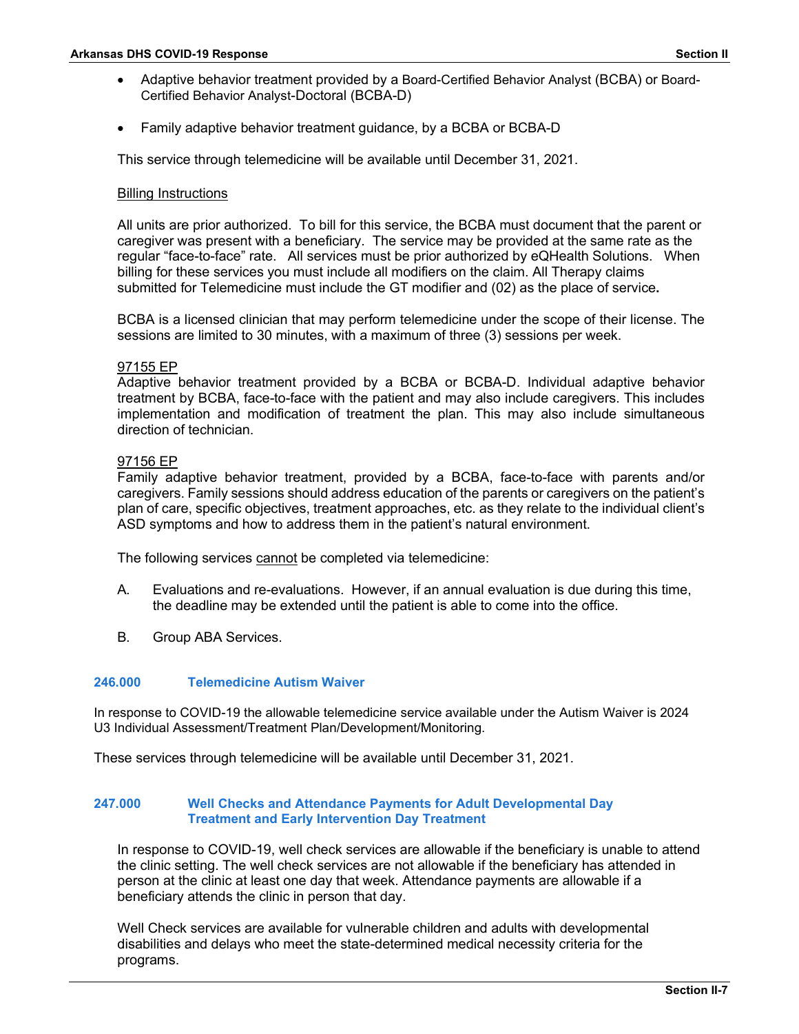- Adaptive behavior treatment provided by a Board-Certified Behavior Analyst (BCBA) or Board-Certified Behavior Analyst-Doctoral (BCBA-D)
- Family adaptive behavior treatment guidance, by a BCBA or BCBA-D

This service through telemedicine will be available until December 31, 2021.

## Billing Instructions

All units are prior authorized. To bill for this service, the BCBA must document that the parent or caregiver was present with a beneficiary. The service may be provided at the same rate as the regular "face-to-face" rate. All services must be prior authorized by eQHealth Solutions. When billing for these services you must include all modifiers on the claim. All Therapy claims submitted for Telemedicine must include the GT modifier and (02) as the place of service**.**

BCBA is a licensed clinician that may perform telemedicine under the scope of their license. The sessions are limited to 30 minutes, with a maximum of three (3) sessions per week.

## 97155 EP

Adaptive behavior treatment provided by a BCBA or BCBA-D. Individual adaptive behavior treatment by BCBA, face-to-face with the patient and may also include caregivers. This includes implementation and modification of treatment the plan. This may also include simultaneous direction of technician.

#### 97156 EP

Family adaptive behavior treatment, provided by a BCBA, face-to-face with parents and/or caregivers. Family sessions should address education of the parents or caregivers on the patient's plan of care, specific objectives, treatment approaches, etc. as they relate to the individual client's ASD symptoms and how to address them in the patient's natural environment.

The following services cannot be completed via telemedicine:

- A. Evaluations and re-evaluations. However, if an annual evaluation is due during this time, the deadline may be extended until the patient is able to come into the office.
- B. Group ABA Services.

## **246.000 Telemedicine Autism Waiver**

In response to COVID-19 the allowable telemedicine service available under the Autism Waiver is 2024 U3 Individual Assessment/Treatment Plan/Development/Monitoring.

These services through telemedicine will be available until December 31, 2021.

## **247.000 Well Checks and Attendance Payments for Adult Developmental Day Treatment and Early Intervention Day Treatment**

In response to COVID-19, well check services are allowable if the beneficiary is unable to attend the clinic setting. The well check services are not allowable if the beneficiary has attended in person at the clinic at least one day that week. Attendance payments are allowable if a beneficiary attends the clinic in person that day.

Well Check services are available for vulnerable children and adults with developmental disabilities and delays who meet the state-determined medical necessity criteria for the programs.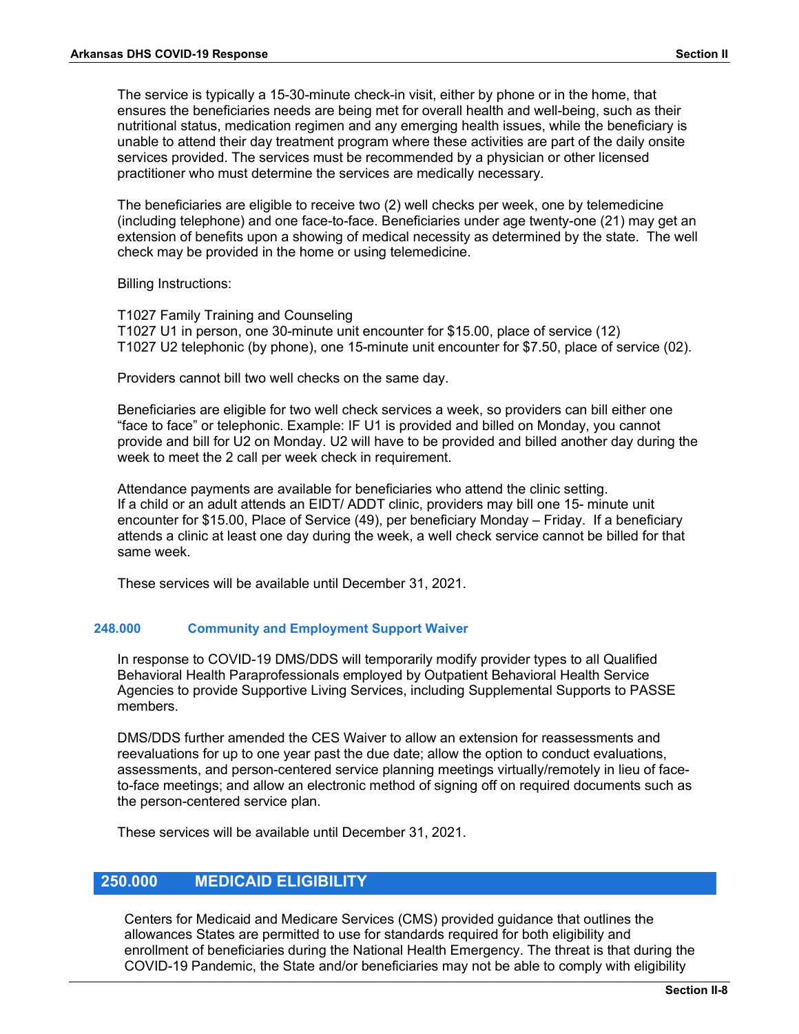The service is typically a 15-30-minute check-in visit, either by phone or in the home, that ensures the beneficiaries needs are being met for overall health and well-being, such as their nutritional status, medication regimen and any emerging health issues, while the beneficiary is unable to attend their day treatment program where these activities are part of the daily onsite services provided. The services must be recommended by a physician or other licensed practitioner who must determine the services are medically necessary.

The beneficiaries are eligible to receive two (2) well checks per week, one by telemedicine (including telephone) and one face-to-face. Beneficiaries under age twenty-one (21) may get an extension of benefits upon a showing of medical necessity as determined by the state. The well check may be provided in the home or using telemedicine.

Billing Instructions:

T1027 Family Training and Counseling T1027 U1 in person, one 30-minute unit encounter for \$15.00, place of service (12) T1027 U2 telephonic (by phone), one 15-minute unit encounter for \$7.50, place of service (02).

Providers cannot bill two well checks on the same day.

Beneficiaries are eligible for two well check services a week, so providers can bill either one "face to face" or telephonic. Example: IF U1 is provided and billed on Monday, you cannot provide and bill for U2 on Monday. U2 will have to be provided and billed another day during the week to meet the 2 call per week check in requirement.

Attendance payments are available for beneficiaries who attend the clinic setting. If a child or an adult attends an EIDT/ ADDT clinic, providers may bill one 15- minute unit encounter for \$15.00, Place of Service (49), per beneficiary Monday – Friday. If a beneficiary attends a clinic at least one day during the week, a well check service cannot be billed for that same week.

These services will be available until December 31, 2021.

#### **248.000 Community and Employment Support Waiver**

In response to COVID-19 DMS/DDS will temporarily modify provider types to all Qualified Behavioral Health Paraprofessionals employed by Outpatient Behavioral Health Service Agencies to provide Supportive Living Services, including Supplemental Supports to PASSE members.

DMS/DDS further amended the CES Waiver to allow an extension for reassessments and reevaluations for up to one year past the due date; allow the option to conduct evaluations, assessments, and person-centered service planning meetings virtually/remotely in lieu of faceto-face meetings; and allow an electronic method of signing off on required documents such as the person-centered service plan.

These services will be available until December 31, 2021.

## **250.000 MEDICAID ELIGIBILITY**

Centers for Medicaid and Medicare Services (CMS) provided guidance that outlines the allowances States are permitted to use for standards required for both eligibility and enrollment of beneficiaries during the National Health Emergency. The threat is that during the COVID-19 Pandemic, the State and/or beneficiaries may not be able to comply with eligibility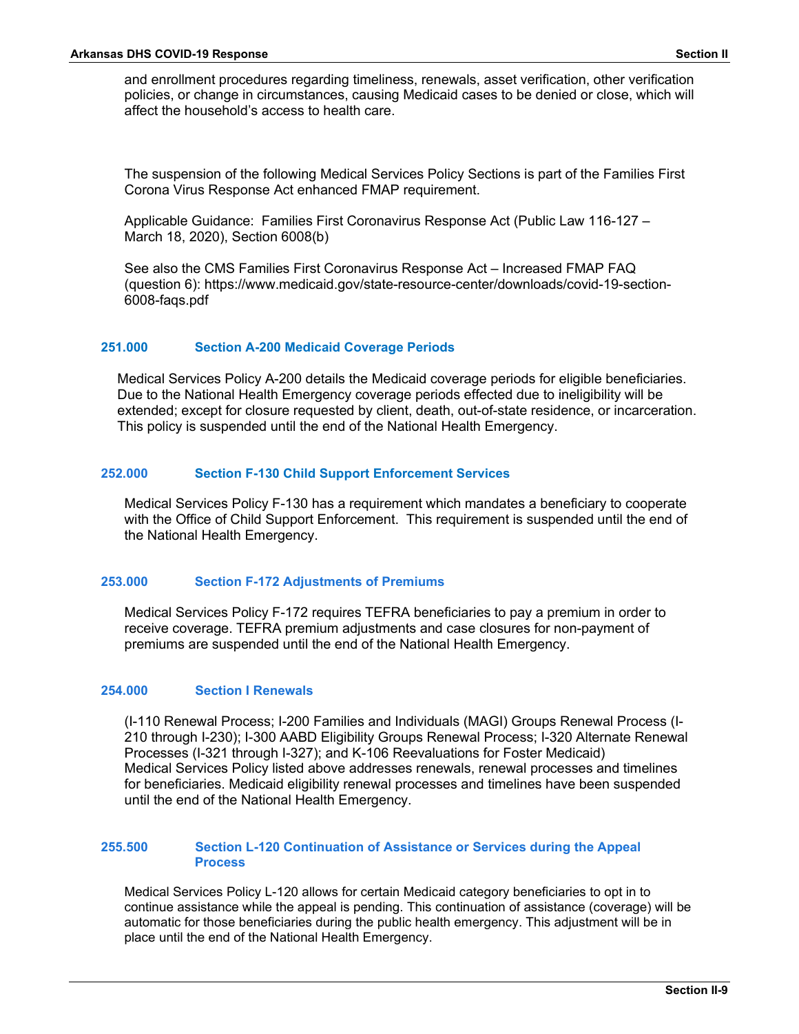and enrollment procedures regarding timeliness, renewals, asset verification, other verification policies, or change in circumstances, causing Medicaid cases to be denied or close, which will affect the household's access to health care.

The suspension of the following Medical Services Policy Sections is part of the Families First Corona Virus Response Act enhanced FMAP requirement.

Applicable Guidance: Families First Coronavirus Response Act (Public Law 116-127 – March 18, 2020), Section 6008(b)

See also the CMS Families First Coronavirus Response Act – Increased FMAP FAQ (question 6): https://www.medicaid.gov/state-resource-center/downloads/covid-19-section-6008-faqs.pdf

#### **251.000 Section A-200 Medicaid Coverage Periods**

Medical Services Policy A-200 details the Medicaid coverage periods for eligible beneficiaries. Due to the National Health Emergency coverage periods effected due to ineligibility will be extended; except for closure requested by client, death, out-of-state residence, or incarceration. This policy is suspended until the end of the National Health Emergency.

## **252.000 Section F-130 Child Support Enforcement Services**

Medical Services Policy F-130 has a requirement which mandates a beneficiary to cooperate with the Office of Child Support Enforcement. This requirement is suspended until the end of the National Health Emergency.

#### **253.000 Section F-172 Adjustments of Premiums**

Medical Services Policy F-172 requires TEFRA beneficiaries to pay a premium in order to receive coverage. TEFRA premium adjustments and case closures for non-payment of premiums are suspended until the end of the National Health Emergency.

#### **254.000 Section I Renewals**

(I-110 Renewal Process; I-200 Families and Individuals (MAGI) Groups Renewal Process (I-210 through I-230); I-300 AABD Eligibility Groups Renewal Process; I-320 Alternate Renewal Processes (I-321 through I-327); and K-106 Reevaluations for Foster Medicaid) Medical Services Policy listed above addresses renewals, renewal processes and timelines for beneficiaries. Medicaid eligibility renewal processes and timelines have been suspended until the end of the National Health Emergency.

## **255.500 Section L-120 Continuation of Assistance or Services during the Appeal Process**

Medical Services Policy L-120 allows for certain Medicaid category beneficiaries to opt in to continue assistance while the appeal is pending. This continuation of assistance (coverage) will be automatic for those beneficiaries during the public health emergency. This adjustment will be in place until the end of the National Health Emergency.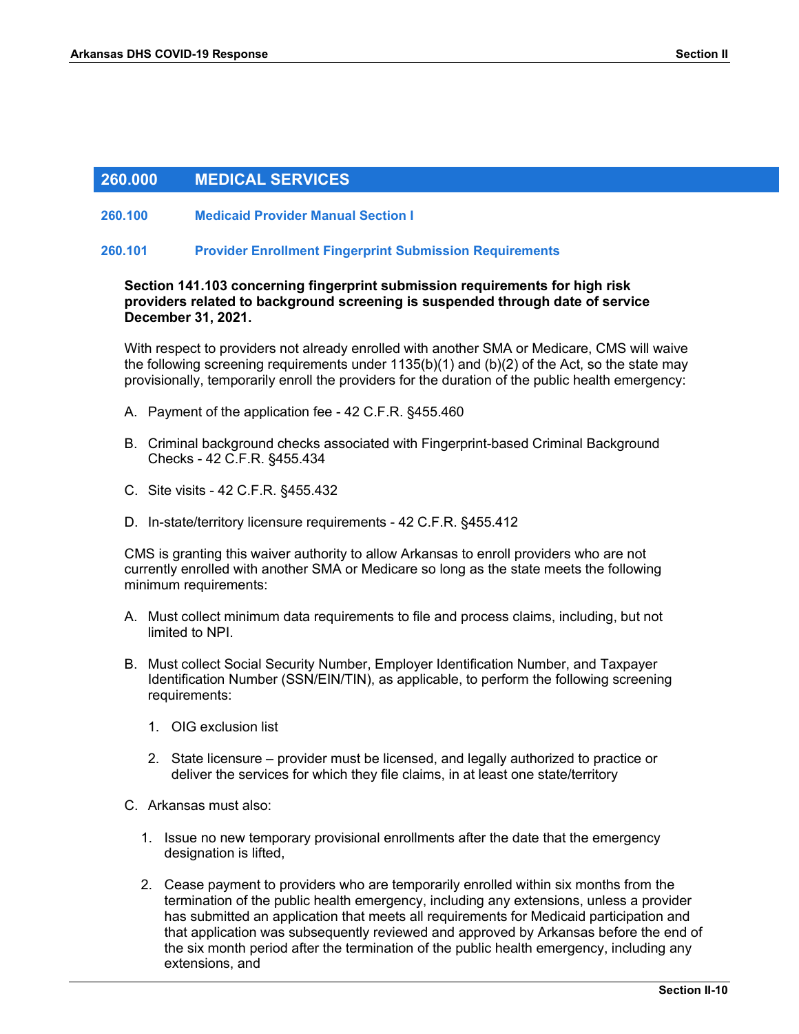## **260.000 MEDICAL SERVICES**

## **260.100 Medicaid Provider Manual Section I**

#### **260.101 Provider Enrollment Fingerprint Submission Requirements**

## **Section 141.103 concerning fingerprint submission requirements for high risk providers related to background screening is suspended through date of service December 31, 2021.**

With respect to providers not already enrolled with another SMA or Medicare, CMS will waive the following screening requirements under 1135(b)(1) and (b)(2) of the Act, so the state may provisionally, temporarily enroll the providers for the duration of the public health emergency:

- A. Payment of the application fee 42 C.F.R. §455.460
- B. Criminal background checks associated with Fingerprint-based Criminal Background Checks - 42 C.F.R. §455.434
- C. Site visits 42 C.F.R. §455.432
- D. In-state/territory licensure requirements 42 C.F.R. §455.412

CMS is granting this waiver authority to allow Arkansas to enroll providers who are not currently enrolled with another SMA or Medicare so long as the state meets the following minimum requirements:

- A. Must collect minimum data requirements to file and process claims, including, but not limited to NPI.
- B. Must collect Social Security Number, Employer Identification Number, and Taxpayer Identification Number (SSN/EIN/TIN), as applicable, to perform the following screening requirements:
	- 1. OIG exclusion list
	- 2. State licensure provider must be licensed, and legally authorized to practice or deliver the services for which they file claims, in at least one state/territory
- C. Arkansas must also:
	- 1. Issue no new temporary provisional enrollments after the date that the emergency designation is lifted,
	- 2. Cease payment to providers who are temporarily enrolled within six months from the termination of the public health emergency, including any extensions, unless a provider has submitted an application that meets all requirements for Medicaid participation and that application was subsequently reviewed and approved by Arkansas before the end of the six month period after the termination of the public health emergency, including any extensions, and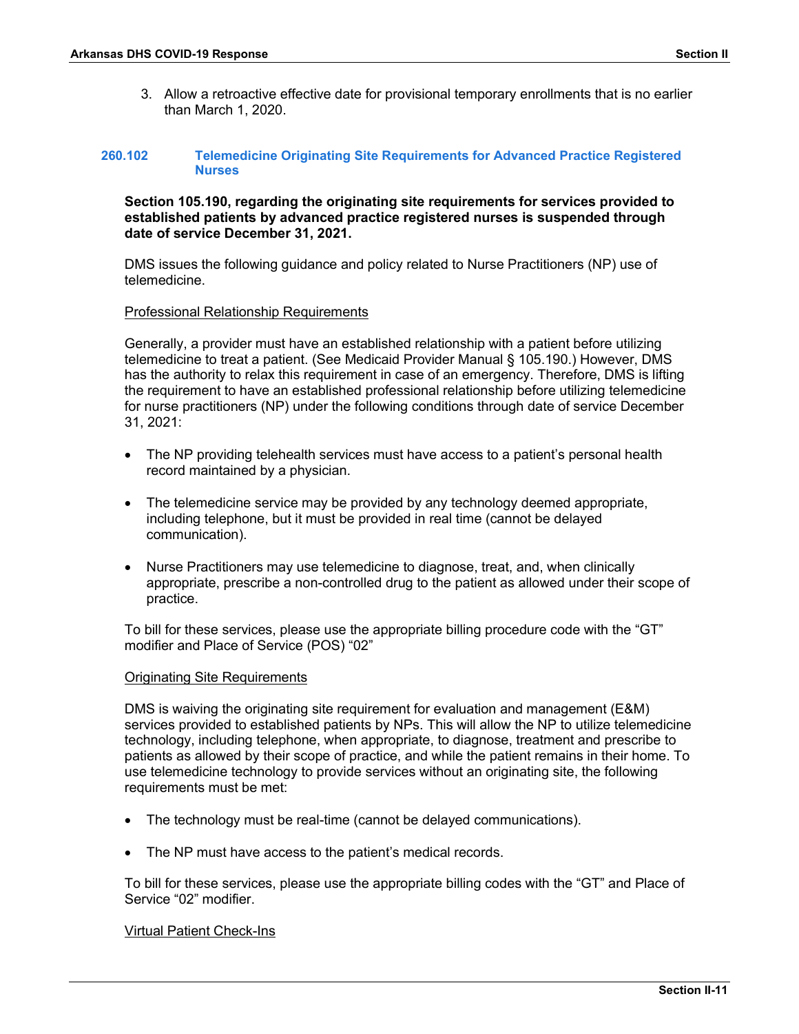3. Allow a retroactive effective date for provisional temporary enrollments that is no earlier than March 1, 2020.

#### **260.102 Telemedicine Originating Site Requirements for Advanced Practice Registered Nurses**

## **Section 105.190, regarding the originating site requirements for services provided to established patients by advanced practice registered nurses is suspended through date of service December 31, 2021.**

DMS issues the following guidance and policy related to Nurse Practitioners (NP) use of telemedicine.

## Professional Relationship Requirements

Generally, a provider must have an established relationship with a patient before utilizing telemedicine to treat a patient. (See Medicaid Provider Manual § 105.190.) However, DMS has the authority to relax this requirement in case of an emergency. Therefore, DMS is lifting the requirement to have an established professional relationship before utilizing telemedicine for nurse practitioners (NP) under the following conditions through date of service December 31, 2021:

- The NP providing telehealth services must have access to a patient's personal health record maintained by a physician.
- The telemedicine service may be provided by any technology deemed appropriate, including telephone, but it must be provided in real time (cannot be delayed communication).
- Nurse Practitioners may use telemedicine to diagnose, treat, and, when clinically appropriate, prescribe a non-controlled drug to the patient as allowed under their scope of practice.

To bill for these services, please use the appropriate billing procedure code with the "GT" modifier and Place of Service (POS) "02"

#### Originating Site Requirements

DMS is waiving the originating site requirement for evaluation and management (E&M) services provided to established patients by NPs. This will allow the NP to utilize telemedicine technology, including telephone, when appropriate, to diagnose, treatment and prescribe to patients as allowed by their scope of practice, and while the patient remains in their home. To use telemedicine technology to provide services without an originating site, the following requirements must be met:

- The technology must be real-time (cannot be delayed communications).
- The NP must have access to the patient's medical records.

To bill for these services, please use the appropriate billing codes with the "GT" and Place of Service "02" modifier.

## Virtual Patient Check-Ins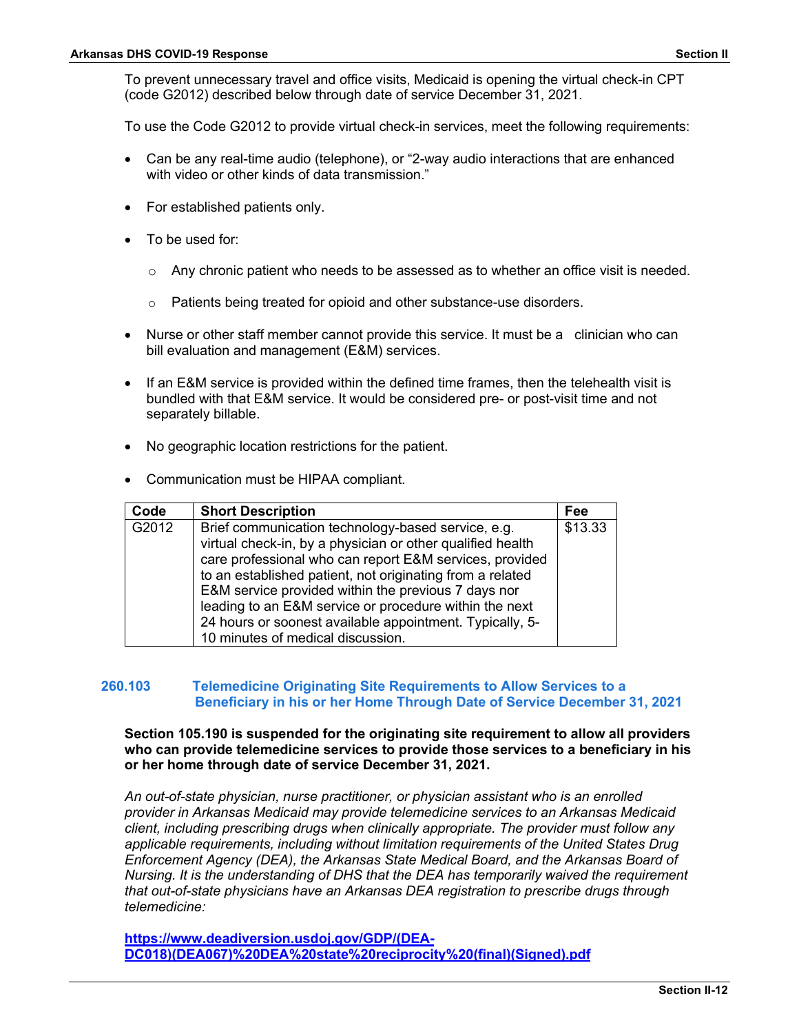To prevent unnecessary travel and office visits, Medicaid is opening the virtual check-in CPT (code G2012) described below through date of service December 31, 2021.

To use the Code G2012 to provide virtual check-in services, meet the following requirements:

- Can be any real-time audio (telephone), or "2-way audio interactions that are enhanced with video or other kinds of data transmission."
- For established patients only.
- To be used for:
	- $\circ$  Any chronic patient who needs to be assessed as to whether an office visit is needed.
	- o Patients being treated for opioid and other substance-use disorders.
- Nurse or other staff member cannot provide this service. It must be a clinician who can bill evaluation and management (E&M) services.
- If an E&M service is provided within the defined time frames, then the telehealth visit is bundled with that E&M service. It would be considered pre- or post-visit time and not separately billable.
- No geographic location restrictions for the patient.
- Communication must be HIPAA compliant.

| Code  | <b>Short Description</b>                                                                                                                                                                                                                                                                                                                                                                                                                                   | Fee     |
|-------|------------------------------------------------------------------------------------------------------------------------------------------------------------------------------------------------------------------------------------------------------------------------------------------------------------------------------------------------------------------------------------------------------------------------------------------------------------|---------|
| G2012 | Brief communication technology-based service, e.g.<br>virtual check-in, by a physician or other qualified health<br>care professional who can report E&M services, provided<br>to an established patient, not originating from a related<br>E&M service provided within the previous 7 days nor<br>leading to an E&M service or procedure within the next<br>24 hours or soonest available appointment. Typically, 5-<br>10 minutes of medical discussion. | \$13.33 |

## **260.103 Telemedicine Originating Site Requirements to Allow Services to a Beneficiary in his or her Home Through Date of Service December 31, 2021**

## **Section 105.190 is suspended for the originating site requirement to allow all providers who can provide telemedicine services to provide those services to a beneficiary in his or her home through date of service December 31, 2021.**

*An out-of-state physician, nurse practitioner, or physician assistant who is an enrolled provider in Arkansas Medicaid may provide telemedicine services to an Arkansas Medicaid client, including prescribing drugs when clinically appropriate. The provider must follow any applicable requirements, including without limitation requirements of the United States Drug Enforcement Agency (DEA), the Arkansas State Medical Board, and the Arkansas Board of Nursing. It is the understanding of DHS that the DEA has temporarily waived the requirement that out-of-state physicians have an Arkansas DEA registration to prescribe drugs through telemedicine:*

**[https://www.deadiversion.usdoj.gov/GDP/\(DEA-](https://www.deadiversion.usdoj.gov/GDP/(DEA-DC018)(DEA067)%20DEA%20state%20reciprocity%20(final)(Signed).pdf)[DC018\)\(DEA067\)%20DEA%20state%20reciprocity%20\(final\)\(Signed\).pdf](https://www.deadiversion.usdoj.gov/GDP/(DEA-DC018)(DEA067)%20DEA%20state%20reciprocity%20(final)(Signed).pdf)**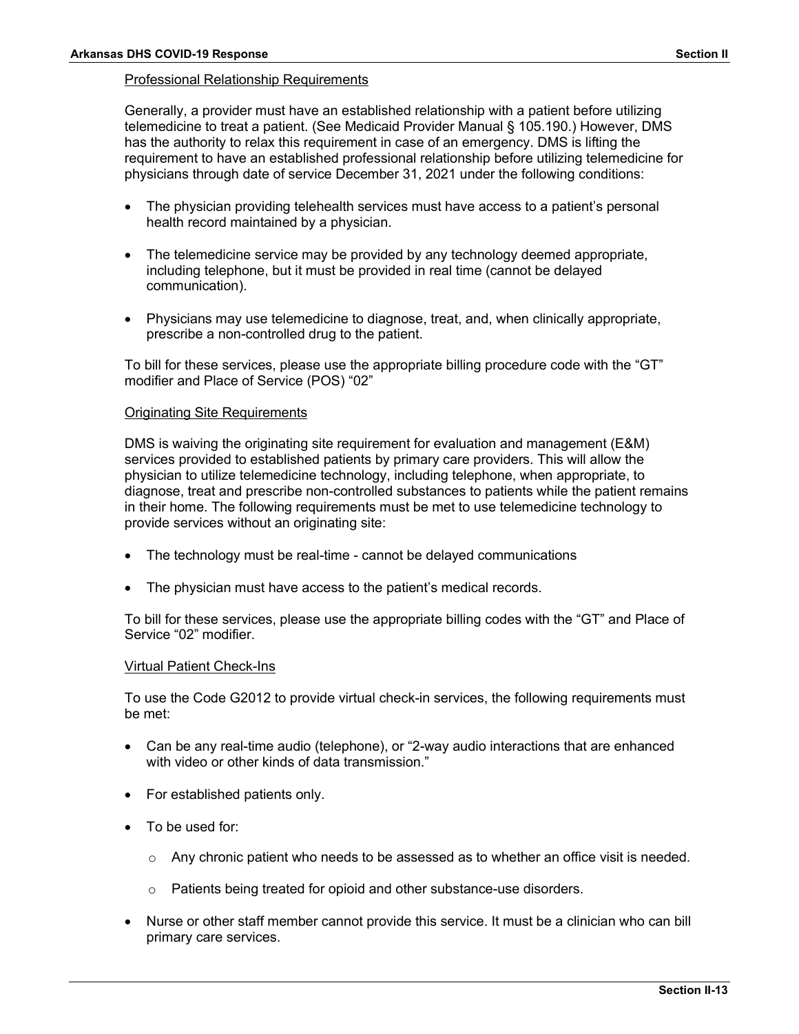## Professional Relationship Requirements

Generally, a provider must have an established relationship with a patient before utilizing telemedicine to treat a patient. (See Medicaid Provider Manual § 105.190.) However, DMS has the authority to relax this requirement in case of an emergency. DMS is lifting the requirement to have an established professional relationship before utilizing telemedicine for physicians through date of service December 31, 2021 under the following conditions:

- The physician providing telehealth services must have access to a patient's personal health record maintained by a physician.
- The telemedicine service may be provided by any technology deemed appropriate, including telephone, but it must be provided in real time (cannot be delayed communication).
- Physicians may use telemedicine to diagnose, treat, and, when clinically appropriate, prescribe a non-controlled drug to the patient.

To bill for these services, please use the appropriate billing procedure code with the "GT" modifier and Place of Service (POS) "02"

#### Originating Site Requirements

DMS is waiving the originating site requirement for evaluation and management (E&M) services provided to established patients by primary care providers. This will allow the physician to utilize telemedicine technology, including telephone, when appropriate, to diagnose, treat and prescribe non-controlled substances to patients while the patient remains in their home. The following requirements must be met to use telemedicine technology to provide services without an originating site:

- The technology must be real-time cannot be delayed communications
- The physician must have access to the patient's medical records.

To bill for these services, please use the appropriate billing codes with the "GT" and Place of Service "02" modifier.

#### Virtual Patient Check-Ins

To use the Code G2012 to provide virtual check-in services, the following requirements must be met:

- Can be any real-time audio (telephone), or "2-way audio interactions that are enhanced with video or other kinds of data transmission."
- For established patients only.
- To be used for:
	- o Any chronic patient who needs to be assessed as to whether an office visit is needed.
	- o Patients being treated for opioid and other substance-use disorders.
- Nurse or other staff member cannot provide this service. It must be a clinician who can bill primary care services.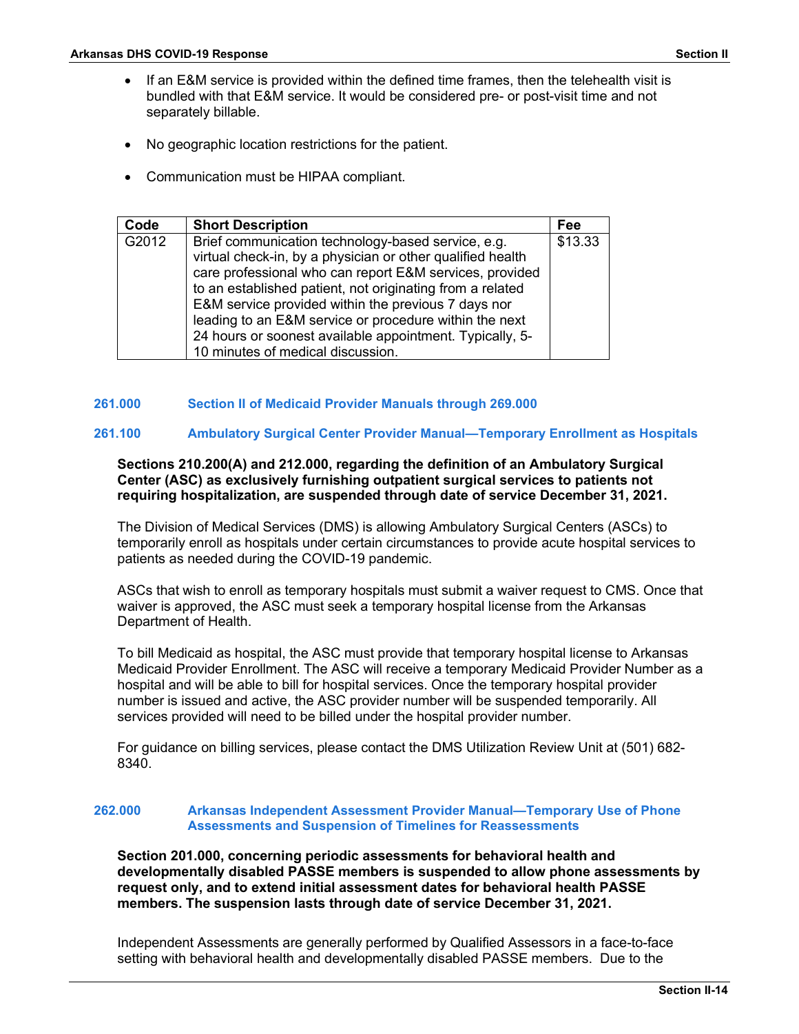- If an E&M service is provided within the defined time frames, then the telehealth visit is bundled with that E&M service. It would be considered pre- or post-visit time and not separately billable.
- No geographic location restrictions for the patient.
- Communication must be HIPAA compliant.

| Code  | <b>Short Description</b>                                                                                                                                                                                                                                                                                                                                                                                                                                   | <b>Fee</b> |
|-------|------------------------------------------------------------------------------------------------------------------------------------------------------------------------------------------------------------------------------------------------------------------------------------------------------------------------------------------------------------------------------------------------------------------------------------------------------------|------------|
| G2012 | Brief communication technology-based service, e.g.<br>virtual check-in, by a physician or other qualified health<br>care professional who can report E&M services, provided<br>to an established patient, not originating from a related<br>E&M service provided within the previous 7 days nor<br>leading to an E&M service or procedure within the next<br>24 hours or soonest available appointment. Typically, 5-<br>10 minutes of medical discussion. | \$13.33    |

## **261.000 Section II of Medicaid Provider Manuals through 269.000**

## **261.100 Ambulatory Surgical Center Provider Manual—Temporary Enrollment as Hospitals**

## **Sections 210.200(A) and 212.000, regarding the definition of an Ambulatory Surgical Center (ASC) as exclusively furnishing outpatient surgical services to patients not requiring hospitalization, are suspended through date of service December 31, 2021.**

The Division of Medical Services (DMS) is allowing Ambulatory Surgical Centers (ASCs) to temporarily enroll as hospitals under certain circumstances to provide acute hospital services to patients as needed during the COVID-19 pandemic.

ASCs that wish to enroll as temporary hospitals must submit a waiver request to CMS. Once that waiver is approved, the ASC must seek a temporary hospital license from the Arkansas Department of Health.

To bill Medicaid as hospital, the ASC must provide that temporary hospital license to Arkansas Medicaid Provider Enrollment. The ASC will receive a temporary Medicaid Provider Number as a hospital and will be able to bill for hospital services. Once the temporary hospital provider number is issued and active, the ASC provider number will be suspended temporarily. All services provided will need to be billed under the hospital provider number.

For guidance on billing services, please contact the DMS Utilization Review Unit at (501) 682- 8340.

## **262.000 Arkansas Independent Assessment Provider Manual—Temporary Use of Phone Assessments and Suspension of Timelines for Reassessments**

**Section 201.000, concerning periodic assessments for behavioral health and developmentally disabled PASSE members is suspended to allow phone assessments by request only, and to extend initial assessment dates for behavioral health PASSE members. The suspension lasts through date of service December 31, 2021.**

Independent Assessments are generally performed by Qualified Assessors in a face-to-face setting with behavioral health and developmentally disabled PASSE members. Due to the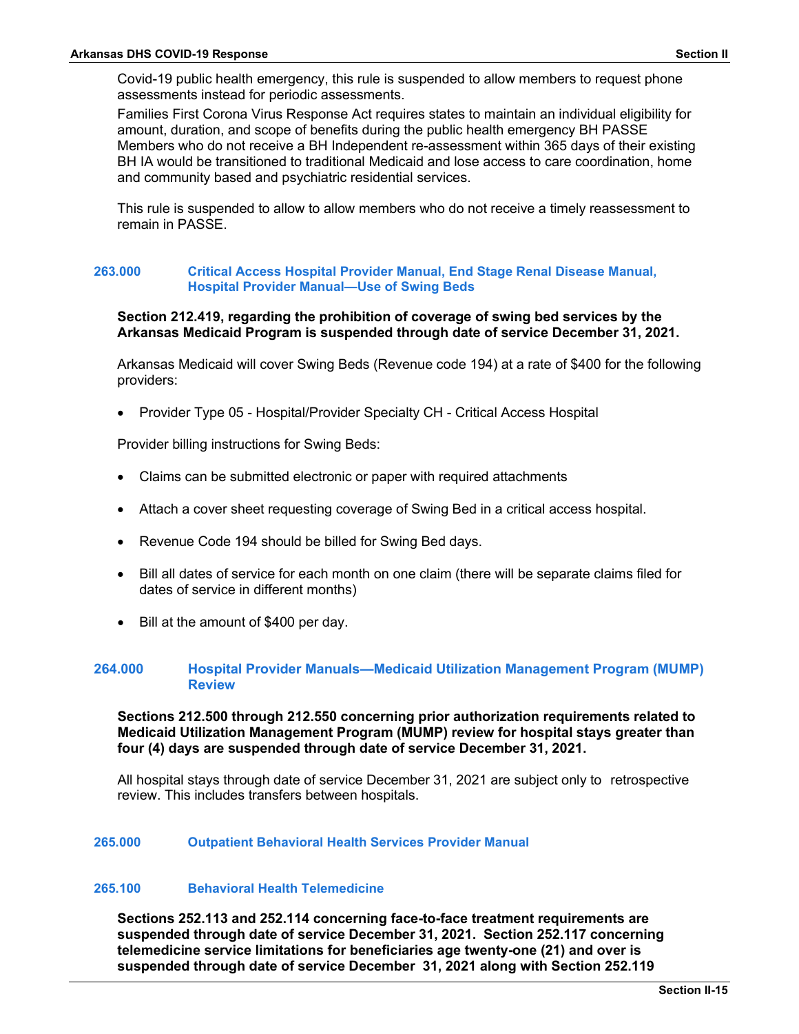Covid-19 public health emergency, this rule is suspended to allow members to request phone assessments instead for periodic assessments.

Families First Corona Virus Response Act requires states to maintain an individual eligibility for amount, duration, and scope of benefits during the public health emergency BH PASSE Members who do not receive a BH Independent re-assessment within 365 days of their existing BH IA would be transitioned to traditional Medicaid and lose access to care coordination, home and community based and psychiatric residential services.

This rule is suspended to allow to allow members who do not receive a timely reassessment to remain in PASSE.

#### **263.000 Critical Access Hospital Provider Manual, End Stage Renal Disease Manual, Hospital Provider Manual—Use of Swing Beds**

## **Section 212.419, regarding the prohibition of coverage of swing bed services by the Arkansas Medicaid Program is suspended through date of service December 31, 2021.**

Arkansas Medicaid will cover Swing Beds (Revenue code 194) at a rate of \$400 for the following providers:

• Provider Type 05 - Hospital/Provider Specialty CH - Critical Access Hospital

Provider billing instructions for Swing Beds:

- Claims can be submitted electronic or paper with required attachments
- Attach a cover sheet requesting coverage of Swing Bed in a critical access hospital.
- Revenue Code 194 should be billed for Swing Bed days.
- Bill all dates of service for each month on one claim (there will be separate claims filed for dates of service in different months)
- Bill at the amount of \$400 per day.

## **264.000 Hospital Provider Manuals—Medicaid Utilization Management Program (MUMP) Review**

## **Sections 212.500 through 212.550 concerning prior authorization requirements related to Medicaid Utilization Management Program (MUMP) review for hospital stays greater than four (4) days are suspended through date of service December 31, 2021.**

All hospital stays through date of service December 31, 2021 are subject only to retrospective review. This includes transfers between hospitals.

#### **265.000 Outpatient Behavioral Health Services Provider Manual**

#### **265.100 Behavioral Health Telemedicine**

**Sections 252.113 and 252.114 concerning face-to-face treatment requirements are suspended through date of service December 31, 2021. Section 252.117 concerning telemedicine service limitations for beneficiaries age twenty-one (21) and over is suspended through date of service December 31, 2021 along with Section 252.119**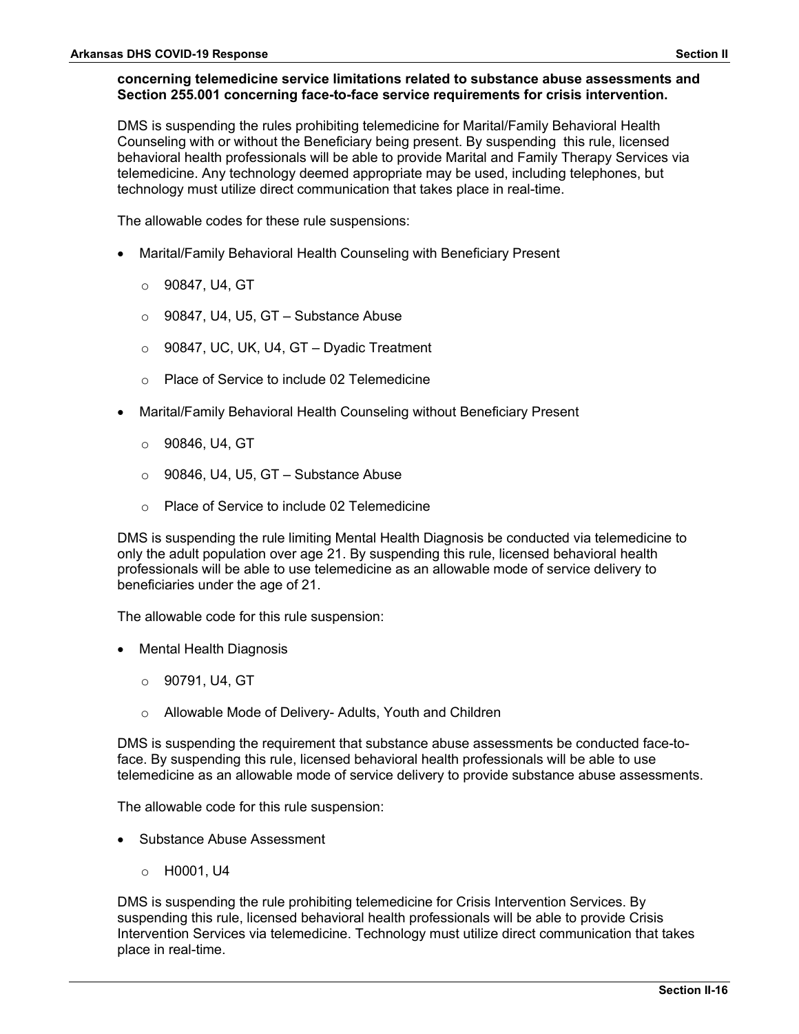## **concerning telemedicine service limitations related to substance abuse assessments and Section 255.001 concerning face-to-face service requirements for crisis intervention.**

DMS is suspending the rules prohibiting telemedicine for Marital/Family Behavioral Health Counseling with or without the Beneficiary being present. By suspending this rule, licensed behavioral health professionals will be able to provide Marital and Family Therapy Services via telemedicine. Any technology deemed appropriate may be used, including telephones, but technology must utilize direct communication that takes place in real-time.

The allowable codes for these rule suspensions:

- Marital/Family Behavioral Health Counseling with Beneficiary Present
	- o 90847, U4, GT
	- o 90847, U4, U5, GT Substance Abuse
	- $\circ$  90847, UC, UK, U4, GT Dyadic Treatment
	- o Place of Service to include 02 Telemedicine
- Marital/Family Behavioral Health Counseling without Beneficiary Present
	- o 90846, U4, GT
	- $\circ$  90846, U4, U5, GT Substance Abuse
	- o Place of Service to include 02 Telemedicine

DMS is suspending the rule limiting Mental Health Diagnosis be conducted via telemedicine to only the adult population over age 21. By suspending this rule, licensed behavioral health professionals will be able to use telemedicine as an allowable mode of service delivery to beneficiaries under the age of 21.

The allowable code for this rule suspension:

- Mental Health Diagnosis
	- o 90791, U4, GT
	- o Allowable Mode of Delivery- Adults, Youth and Children

DMS is suspending the requirement that substance abuse assessments be conducted face-toface. By suspending this rule, licensed behavioral health professionals will be able to use telemedicine as an allowable mode of service delivery to provide substance abuse assessments.

The allowable code for this rule suspension:

- Substance Abuse Assessment
	- o H0001, U4

DMS is suspending the rule prohibiting telemedicine for Crisis Intervention Services. By suspending this rule, licensed behavioral health professionals will be able to provide Crisis Intervention Services via telemedicine. Technology must utilize direct communication that takes place in real-time.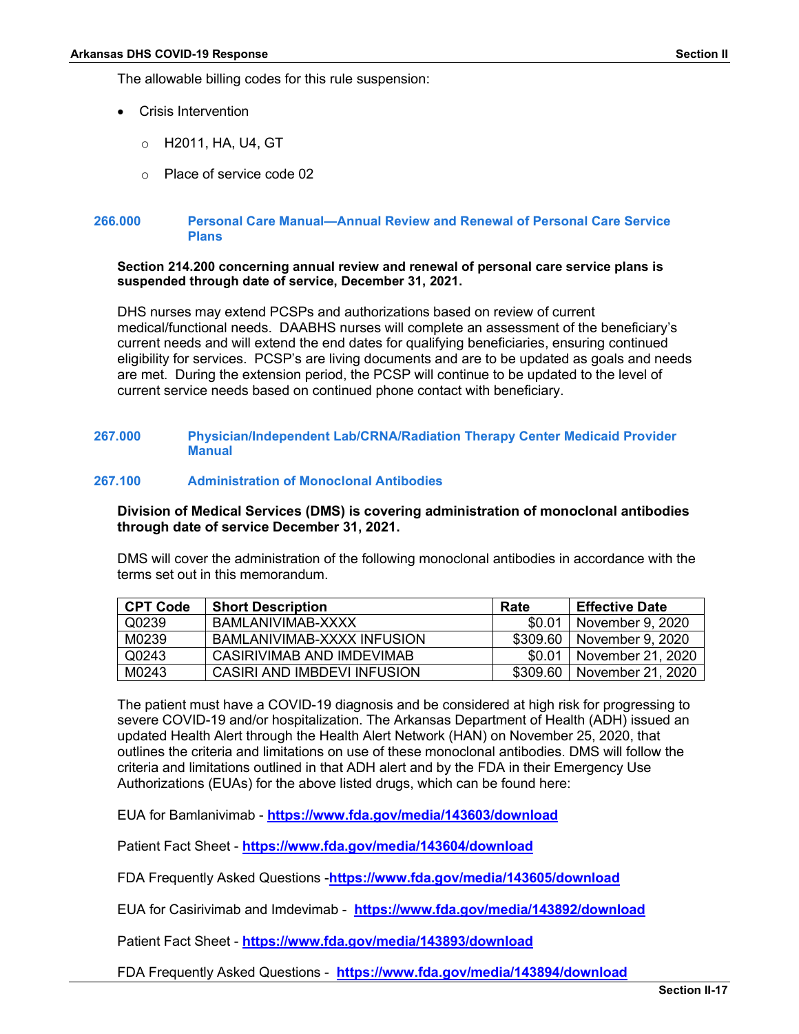The allowable billing codes for this rule suspension:

- Crisis Intervention
	- o H2011, HA, U4, GT
	- o Place of service code 02

#### **266.000 Personal Care Manual—Annual Review and Renewal of Personal Care Service Plans**

#### **Section 214.200 concerning annual review and renewal of personal care service plans is suspended through date of service, December 31, 2021.**

DHS nurses may extend PCSPs and authorizations based on review of current medical/functional needs. DAABHS nurses will complete an assessment of the beneficiary's current needs and will extend the end dates for qualifying beneficiaries, ensuring continued eligibility for services. PCSP's are living documents and are to be updated as goals and needs are met. During the extension period, the PCSP will continue to be updated to the level of current service needs based on continued phone contact with beneficiary.

#### **267.000 Physician/Independent Lab/CRNA/Radiation Therapy Center Medicaid Provider Manual**

## **267.100 Administration of Monoclonal Antibodies**

**Division of Medical Services (DMS) is covering administration of monoclonal antibodies through date of service December 31, 2021.**

DMS will cover the administration of the following monoclonal antibodies in accordance with the terms set out in this memorandum.

| <b>CPT Code</b> | <b>Short Description</b>    | Rate     | <b>Effective Date</b> |
|-----------------|-----------------------------|----------|-----------------------|
| Q0239           | BAMLANIVIMAB-XXXX           | .SO.O    | November 9, 2020      |
| M0239           | BAMLANIVIMAB-XXXX INFUSION  | \$309.60 | November 9, 2020      |
| Q0243           | CASIRIVIMAB AND IMDEVIMAB   | \$0.01   | November 21, 2020     |
| M0243           | CASIRI AND IMBDEVI INFUSION | \$309.60 | November 21, 2020     |

The patient must have a COVID-19 diagnosis and be considered at high risk for progressing to severe COVID-19 and/or hospitalization. The Arkansas Department of Health (ADH) issued an updated Health Alert through the Health Alert Network (HAN) on November 25, 2020, that outlines the criteria and limitations on use of these monoclonal antibodies. DMS will follow the criteria and limitations outlined in that ADH alert and by the FDA in their Emergency Use Authorizations (EUAs) for the above listed drugs, which can be found here:

EUA for Bamlanivimab - **<https://www.fda.gov/media/143603/download>**

Patient Fact Sheet - **<https://www.fda.gov/media/143604/download>**

FDA Frequently Asked Questions -**<https://www.fda.gov/media/143605/download>**

EUA for Casirivimab and Imdevimab - **<https://www.fda.gov/media/143892/download>**

Patient Fact Sheet - **<https://www.fda.gov/media/143893/download>**

FDA Frequently Asked Questions - **<https://www.fda.gov/media/143894/download>**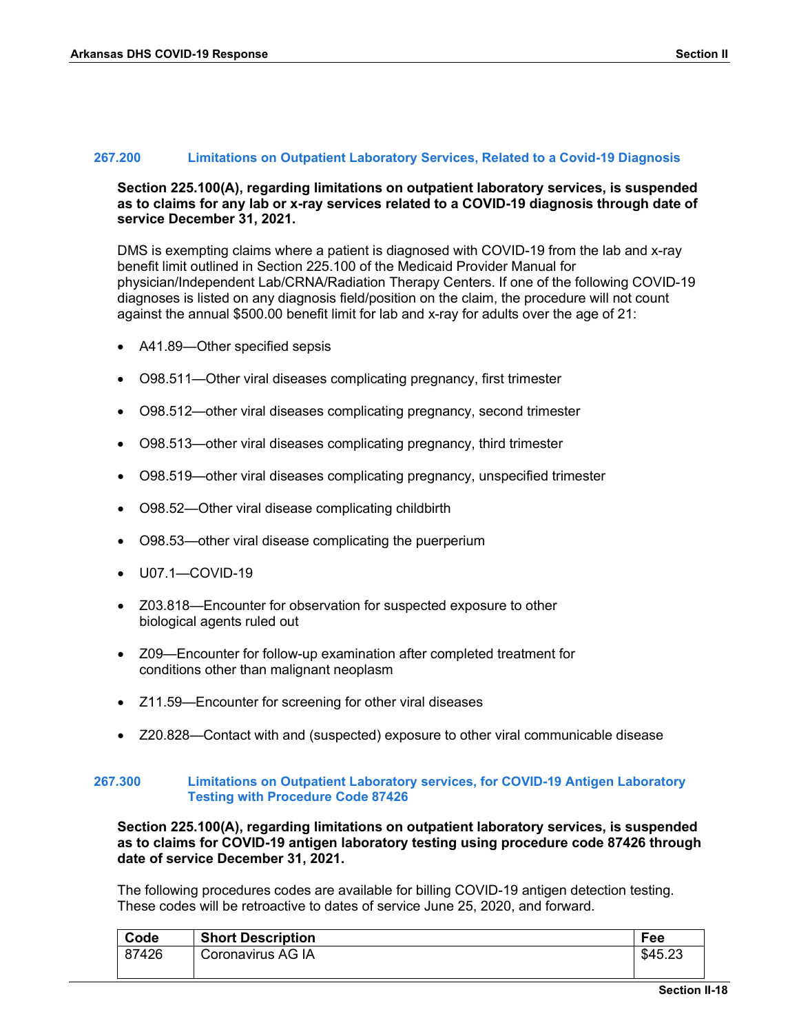#### **267.200 Limitations on Outpatient Laboratory Services, Related to a Covid-19 Diagnosis**

## **Section 225.100(A), regarding limitations on outpatient laboratory services, is suspended as to claims for any lab or x-ray services related to a COVID-19 diagnosis through date of service December 31, 2021.**

DMS is exempting claims where a patient is diagnosed with COVID-19 from the lab and x-ray benefit limit outlined in Section 225.100 of the Medicaid Provider Manual for physician/Independent Lab/CRNA/Radiation Therapy Centers. If one of the following COVID-19 diagnoses is listed on any diagnosis field/position on the claim, the procedure will not count against the annual \$500.00 benefit limit for lab and x-ray for adults over the age of 21:

- A41.89—Other specified sepsis
- O98.511—Other viral diseases complicating pregnancy, first trimester
- O98.512—other viral diseases complicating pregnancy, second trimester
- O98.513—other viral diseases complicating pregnancy, third trimester
- O98.519—other viral diseases complicating pregnancy, unspecified trimester
- O98.52—Other viral disease complicating childbirth
- O98.53—other viral disease complicating the puerperium
- U07.1—COVID-19
- Z03.818—Encounter for observation for suspected exposure to other biological agents ruled out
- Z09—Encounter for follow-up examination after completed treatment for conditions other than malignant neoplasm
- Z11.59—Encounter for screening for other viral diseases
- Z20.828—Contact with and (suspected) exposure to other viral communicable disease

#### **267.300 Limitations on Outpatient Laboratory services, for COVID-19 Antigen Laboratory Testing with Procedure Code 87426**

**Section 225.100(A), regarding limitations on outpatient laboratory services, is suspended as to claims for COVID-19 antigen laboratory testing using procedure code 87426 through date of service December 31, 2021.**

The following procedures codes are available for billing COVID-19 antigen detection testing. These codes will be retroactive to dates of service June 25, 2020, and forward.

| Code  | <b>Short Description</b> | Fee     |
|-------|--------------------------|---------|
| 87426 | Coronavirus AG IA        | \$45.23 |
|       |                          |         |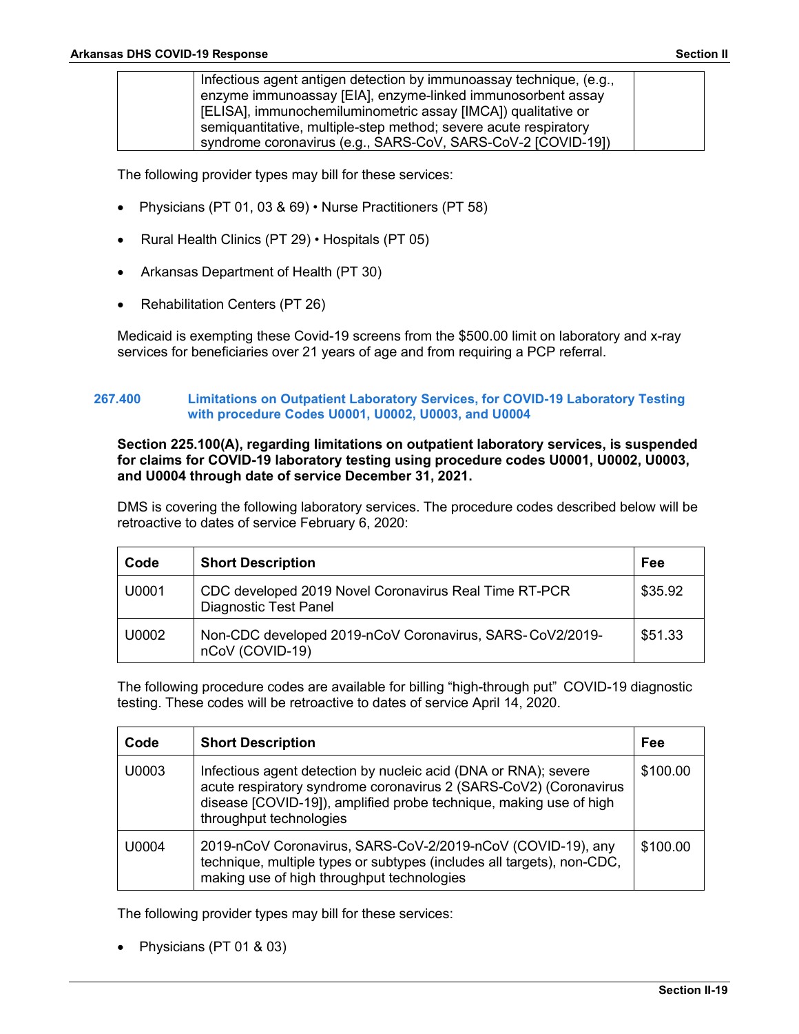| Infectious agent antigen detection by immunoassay technique, (e.g., |  |
|---------------------------------------------------------------------|--|
| enzyme immunoassay [EIA], enzyme-linked immunosorbent assay         |  |
| [ELISA], immunochemiluminometric assay [IMCA]) qualitative or       |  |
| semiquantitative, multiple-step method; severe acute respiratory    |  |
| syndrome coronavirus (e.g., SARS-CoV, SARS-CoV-2 [COVID-19])        |  |

The following provider types may bill for these services:

- Physicians (PT 01, 03 & 69) Nurse Practitioners (PT 58)
- Rural Health Clinics (PT 29) Hospitals (PT 05)
- Arkansas Department of Health (PT 30)
- Rehabilitation Centers (PT 26)

Medicaid is exempting these Covid-19 screens from the \$500.00 limit on laboratory and x-ray services for beneficiaries over 21 years of age and from requiring a PCP referral.

## **267.400 Limitations on Outpatient Laboratory Services, for COVID-19 Laboratory Testing with procedure Codes U0001, U0002, U0003, and U0004**

## **Section 225.100(A), regarding limitations on outpatient laboratory services, is suspended for claims for COVID-19 laboratory testing using procedure codes U0001, U0002, U0003, and U0004 through date of service December 31, 2021.**

DMS is covering the following laboratory services. The procedure codes described below will be retroactive to dates of service February 6, 2020:

| Code  | <b>Short Description</b>                                                              | Fee     |
|-------|---------------------------------------------------------------------------------------|---------|
| U0001 | CDC developed 2019 Novel Coronavirus Real Time RT-PCR<br><b>Diagnostic Test Panel</b> | \$35.92 |
| U0002 | Non-CDC developed 2019-nCoV Coronavirus, SARS-CoV2/2019-<br>nCoV (COVID-19)           | \$51.33 |

The following procedure codes are available for billing "high-through put" COVID-19 diagnostic testing. These codes will be retroactive to dates of service April 14, 2020.

| Code  | <b>Short Description</b>                                                                                                                                                                                                              | Fee      |
|-------|---------------------------------------------------------------------------------------------------------------------------------------------------------------------------------------------------------------------------------------|----------|
| U0003 | Infectious agent detection by nucleic acid (DNA or RNA); severe<br>acute respiratory syndrome coronavirus 2 (SARS-CoV2) (Coronavirus<br>disease [COVID-19]), amplified probe technique, making use of high<br>throughput technologies | \$100.00 |
| U0004 | 2019-nCoV Coronavirus, SARS-CoV-2/2019-nCoV (COVID-19), any<br>technique, multiple types or subtypes (includes all targets), non-CDC,<br>making use of high throughput technologies                                                   | \$100.00 |

The following provider types may bill for these services:

• Physicians (PT 01 & 03)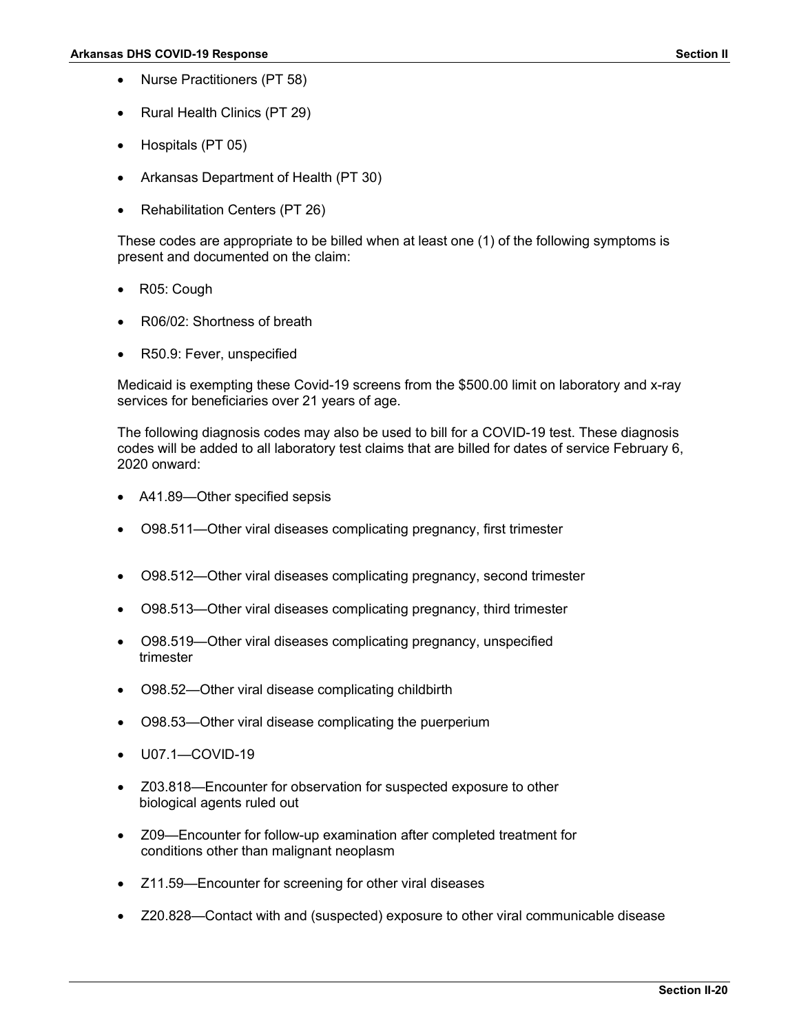- Nurse Practitioners (PT 58)
- Rural Health Clinics (PT 29)
- Hospitals (PT 05)
- Arkansas Department of Health (PT 30)
- Rehabilitation Centers (PT 26)

These codes are appropriate to be billed when at least one (1) of the following symptoms is present and documented on the claim:

- R05: Cough
- R06/02: Shortness of breath
- R50.9: Fever, unspecified

Medicaid is exempting these Covid-19 screens from the \$500.00 limit on laboratory and x-ray services for beneficiaries over 21 years of age.

The following diagnosis codes may also be used to bill for a COVID-19 test. These diagnosis codes will be added to all laboratory test claims that are billed for dates of service February 6, 2020 onward:

- A41.89—Other specified sepsis
- O98.511—Other viral diseases complicating pregnancy, first trimester
- O98.512—Other viral diseases complicating pregnancy, second trimester
- O98.513—Other viral diseases complicating pregnancy, third trimester
- O98.519—Other viral diseases complicating pregnancy, unspecified trimester
- O98.52—Other viral disease complicating childbirth
- O98.53—Other viral disease complicating the puerperium
- U07.1—COVID-19
- Z03.818—Encounter for observation for suspected exposure to other biological agents ruled out
- Z09—Encounter for follow-up examination after completed treatment for conditions other than malignant neoplasm
- Z11.59—Encounter for screening for other viral diseases
- Z20.828—Contact with and (suspected) exposure to other viral communicable disease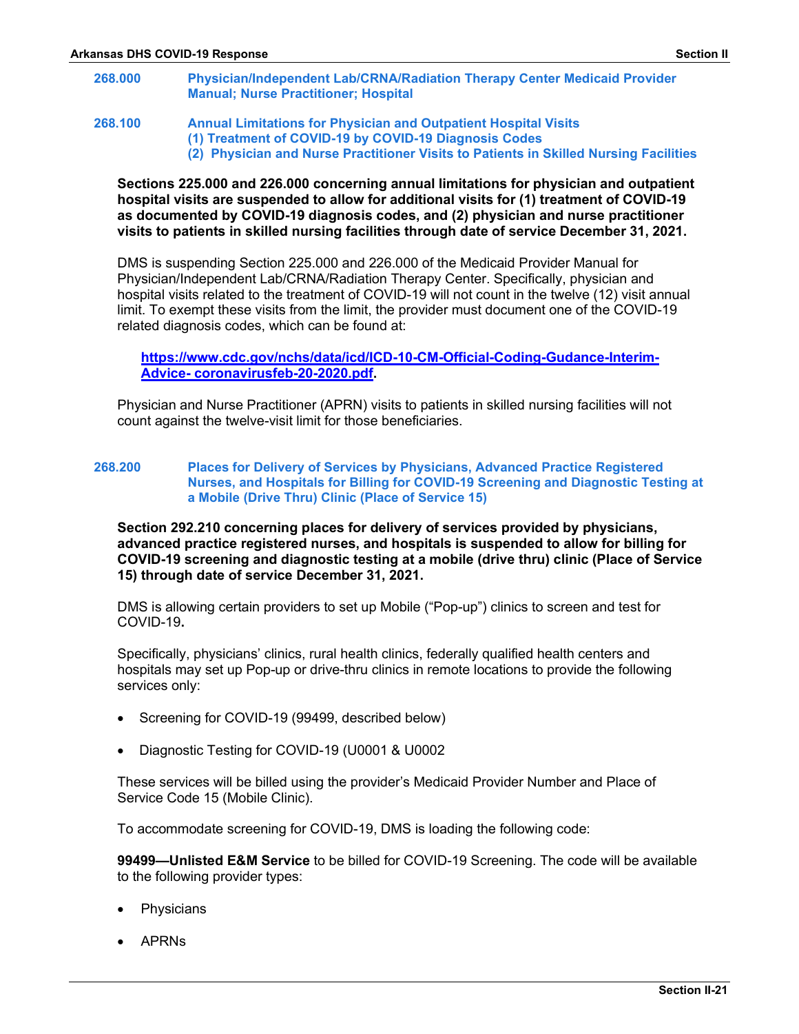- **268.000 Physician/Independent Lab/CRNA/Radiation Therapy Center Medicaid Provider Manual; Nurse Practitioner; Hospital**
- **268.100 Annual Limitations for Physician and Outpatient Hospital Visits (1) Treatment of COVID-19 by COVID-19 Diagnosis Codes (2) Physician and Nurse Practitioner Visits to Patients in Skilled Nursing Facilities**

## **Sections 225.000 and 226.000 concerning annual limitations for physician and outpatient hospital visits are suspended to allow for additional visits for (1) treatment of COVID-19 as documented by COVID-19 diagnosis codes, and (2) physician and nurse practitioner visits to patients in skilled nursing facilities through date of service December 31, 2021.**

DMS is suspending Section 225.000 and 226.000 of the Medicaid Provider Manual for Physician/Independent Lab/CRNA/Radiation Therapy Center. Specifically, physician and hospital visits related to the treatment of COVID-19 will not count in the twelve (12) visit annual limit. To exempt these visits from the limit, the provider must document one of the COVID-19 related diagnosis codes, which can be found at:

**[https://www.cdc.gov/nchs/data/icd/ICD-10-CM-Official-Coding-Gudance-Interim-](https://www.cdc.gov/nchs/data/icd/ICD-10-CM-Official-Coding-Gudance-Interim-%20%20Advice-%20coronavirusfeb-20-2020.pdf)Advice- [coronavirusfeb-20-2020.pdf.](https://www.cdc.gov/nchs/data/icd/ICD-10-CM-Official-Coding-Gudance-Interim-%20%20Advice-%20coronavirusfeb-20-2020.pdf)**

Physician and Nurse Practitioner (APRN) visits to patients in skilled nursing facilities will not count against the twelve-visit limit for those beneficiaries.

#### **268.200 Places for Delivery of Services by Physicians, Advanced Practice Registered Nurses, and Hospitals for Billing for COVID-19 Screening and Diagnostic Testing at a Mobile (Drive Thru) Clinic (Place of Service 15)**

**Section 292.210 concerning places for delivery of services provided by physicians, advanced practice registered nurses, and hospitals is suspended to allow for billing for COVID-19 screening and diagnostic testing at a mobile (drive thru) clinic (Place of Service 15) through date of service December 31, 2021.**

DMS is allowing certain providers to set up Mobile ("Pop-up") clinics to screen and test for COVID-19**.**

Specifically, physicians' clinics, rural health clinics, federally qualified health centers and hospitals may set up Pop-up or drive-thru clinics in remote locations to provide the following services only:

- Screening for COVID-19 (99499, described below)
- Diagnostic Testing for COVID-19 (U0001 & U0002

These services will be billed using the provider's Medicaid Provider Number and Place of Service Code 15 (Mobile Clinic).

To accommodate screening for COVID-19, DMS is loading the following code:

**99499—Unlisted E&M Service** to be billed for COVID-19 Screening. The code will be available to the following provider types:

- **Physicians**
- APRNs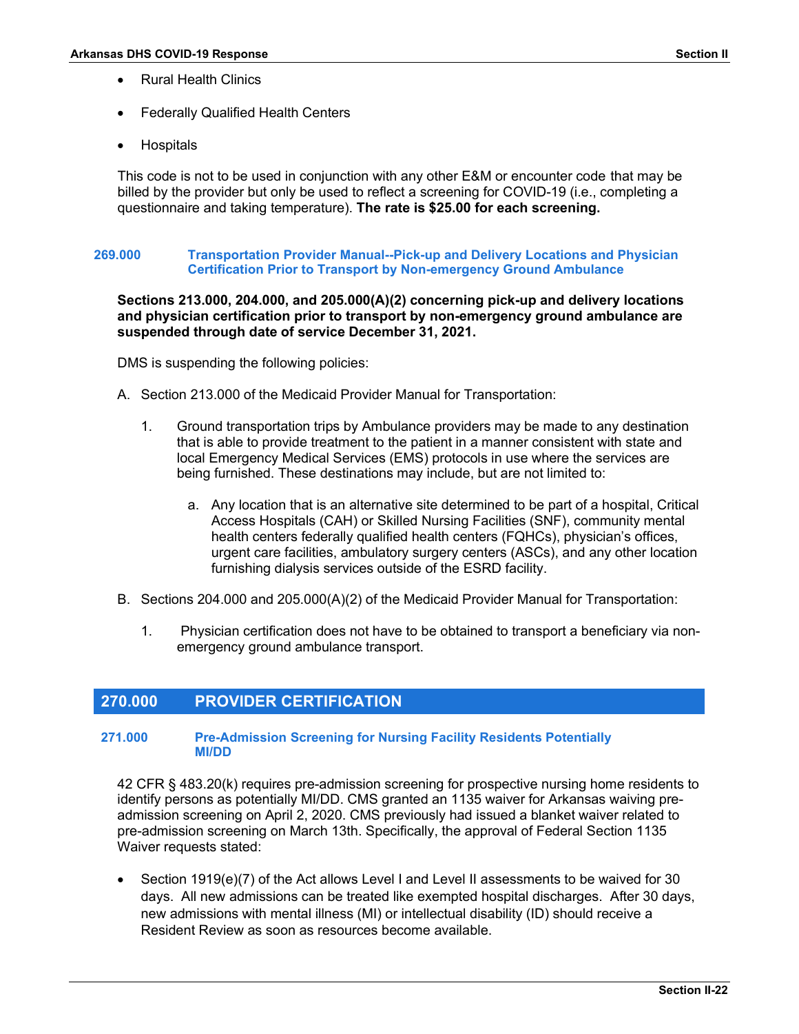- Rural Health Clinics
- Federally Qualified Health Centers
- **Hospitals**

This code is not to be used in conjunction with any other E&M or encounter code that may be billed by the provider but only be used to reflect a screening for COVID-19 (i.e., completing a questionnaire and taking temperature). **The rate is \$25.00 for each screening.** 

## **269.000 Transportation Provider Manual--Pick-up and Delivery Locations and Physician Certification Prior to Transport by Non-emergency Ground Ambulance**

## **Sections 213.000, 204.000, and 205.000(A)(2) concerning pick-up and delivery locations and physician certification prior to transport by non-emergency ground ambulance are suspended through date of service December 31, 2021.**

DMS is suspending the following policies:

- A. Section 213.000 of the Medicaid Provider Manual for Transportation:
	- 1. Ground transportation trips by Ambulance providers may be made to any destination that is able to provide treatment to the patient in a manner consistent with state and local Emergency Medical Services (EMS) protocols in use where the services are being furnished. These destinations may include, but are not limited to:
		- a. Any location that is an alternative site determined to be part of a hospital, Critical Access Hospitals (CAH) or Skilled Nursing Facilities (SNF), community mental health centers federally qualified health centers (FQHCs), physician's offices, urgent care facilities, ambulatory surgery centers (ASCs), and any other location furnishing dialysis services outside of the ESRD facility.
- B. Sections 204.000 and 205.000(A)(2) of the Medicaid Provider Manual for Transportation:
	- 1. Physician certification does not have to be obtained to transport a beneficiary via nonemergency ground ambulance transport.

## **270.000 PROVIDER CERTIFICATION**

**260.000 MEDICAL SERVICES**

## **271.000 Pre-Admission Screening for Nursing Facility Residents Potentially MI/DD**

42 CFR § 483.20(k) requires pre-admission screening for prospective nursing home residents to identify persons as potentially MI/DD. CMS granted an 1135 waiver for Arkansas waiving preadmission screening on April 2, 2020. CMS previously had issued a blanket waiver related to pre-admission screening on March 13th. Specifically, the approval of Federal Section 1135 Waiver requests stated:

• Section 1919(e)(7) of the Act allows Level I and Level II assessments to be waived for 30 days. All new admissions can be treated like exempted hospital discharges. After 30 days, new admissions with mental illness (MI) or intellectual disability (ID) should receive a Resident Review as soon as resources become available.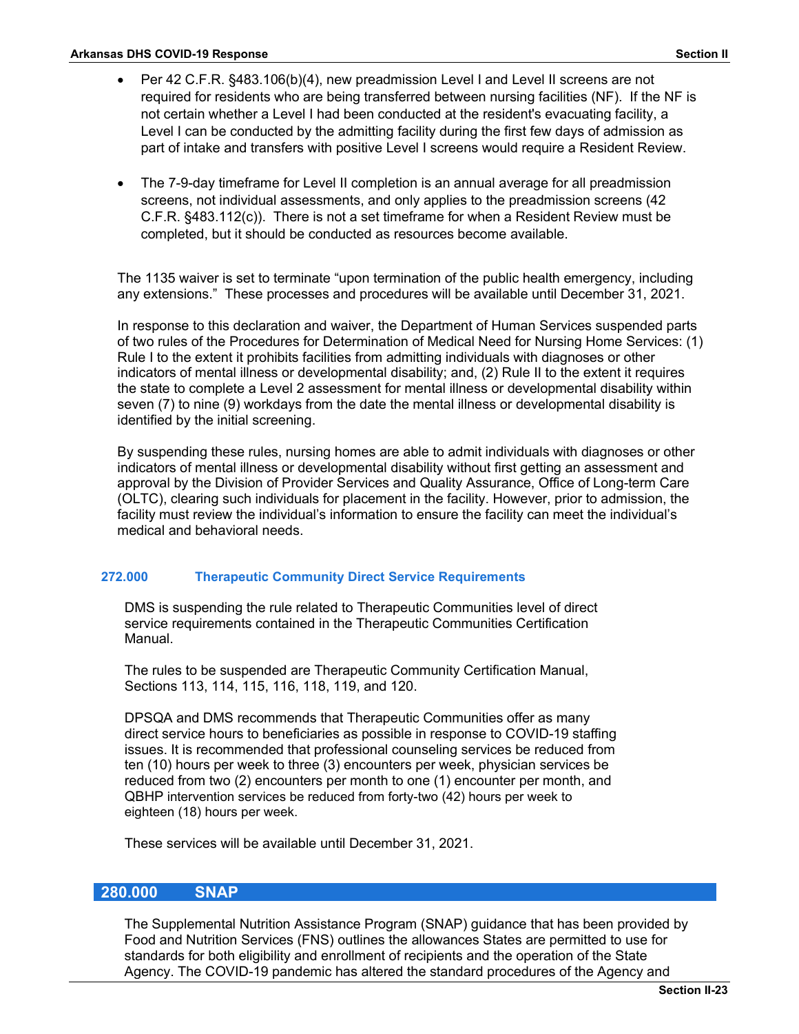- Per 42 C.F.R. §483.106(b)(4), new preadmission Level I and Level II screens are not required for residents who are being transferred between nursing facilities (NF). If the NF is not certain whether a Level I had been conducted at the resident's evacuating facility, a Level I can be conducted by the admitting facility during the first few days of admission as part of intake and transfers with positive Level I screens would require a Resident Review.
- The 7-9-day timeframe for Level II completion is an annual average for all preadmission screens, not individual assessments, and only applies to the preadmission screens (42 C.F.R. §483.112(c)). There is not a set timeframe for when a Resident Review must be completed, but it should be conducted as resources become available.

The 1135 waiver is set to terminate "upon termination of the public health emergency, including any extensions." These processes and procedures will be available until December 31, 2021.

In response to this declaration and waiver, the Department of Human Services suspended parts of two rules of the Procedures for Determination of Medical Need for Nursing Home Services: (1) Rule I to the extent it prohibits facilities from admitting individuals with diagnoses or other indicators of mental illness or developmental disability; and, (2) Rule II to the extent it requires the state to complete a Level 2 assessment for mental illness or developmental disability within seven (7) to nine (9) workdays from the date the mental illness or developmental disability is identified by the initial screening.

By suspending these rules, nursing homes are able to admit individuals with diagnoses or other indicators of mental illness or developmental disability without first getting an assessment and approval by the Division of Provider Services and Quality Assurance, Office of Long-term Care (OLTC), clearing such individuals for placement in the facility. However, prior to admission, the facility must review the individual's information to ensure the facility can meet the individual's medical and behavioral needs.

## **272.000 Therapeutic Community Direct Service Requirements**

DMS is suspending the rule related to Therapeutic Communities level of direct service requirements contained in the Therapeutic Communities Certification Manual.

The rules to be suspended are Therapeutic Community Certification Manual, Sections 113, 114, 115, 116, 118, 119, and 120.

DPSQA and DMS recommends that Therapeutic Communities offer as many direct service hours to beneficiaries as possible in response to COVID-19 staffing issues. It is recommended that professional counseling services be reduced from ten (10) hours per week to three (3) encounters per week, physician services be reduced from two (2) encounters per month to one (1) encounter per month, and QBHP intervention services be reduced from forty-two (42) hours per week to eighteen (18) hours per week.

These services will be available until December 31, 2021.

## **280.000 SNAP**

The Supplemental Nutrition Assistance Program (SNAP) guidance that has been provided by Food and Nutrition Services (FNS) outlines the allowances States are permitted to use for standards for both eligibility and enrollment of recipients and the operation of the State Agency. The COVID-19 pandemic has altered the standard procedures of the Agency and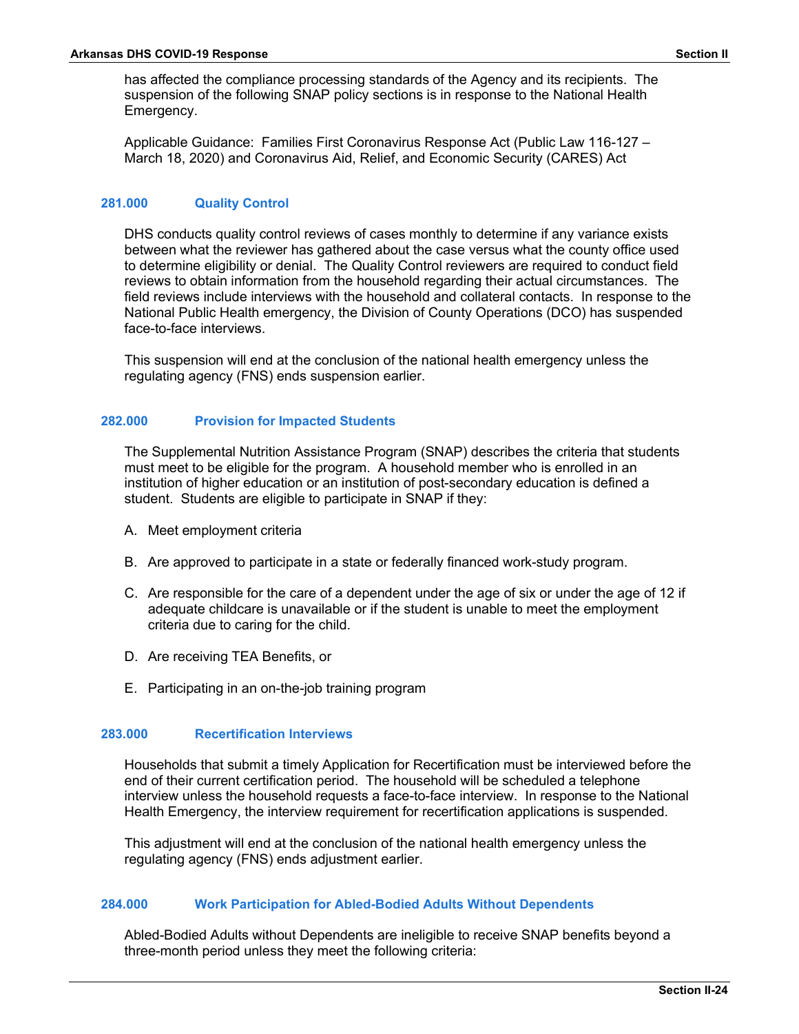has affected the compliance processing standards of the Agency and its recipients. The suspension of the following SNAP policy sections is in response to the National Health Emergency.

Applicable Guidance: Families First Coronavirus Response Act (Public Law 116-127 – March 18, 2020) and Coronavirus Aid, Relief, and Economic Security (CARES) Act

### **281.000 Quality Control**

DHS conducts quality control reviews of cases monthly to determine if any variance exists between what the reviewer has gathered about the case versus what the county office used to determine eligibility or denial. The Quality Control reviewers are required to conduct field reviews to obtain information from the household regarding their actual circumstances. The field reviews include interviews with the household and collateral contacts. In response to the National Public Health emergency, the Division of County Operations (DCO) has suspended face-to-face interviews.

This suspension will end at the conclusion of the national health emergency unless the regulating agency (FNS) ends suspension earlier.

#### **282.000 Provision for Impacted Students**

The Supplemental Nutrition Assistance Program (SNAP) describes the criteria that students must meet to be eligible for the program. A household member who is enrolled in an institution of higher education or an institution of post-secondary education is defined a student. Students are eligible to participate in SNAP if they:

- A. Meet employment criteria
- B. Are approved to participate in a state or federally financed work-study program.
- C. Are responsible for the care of a dependent under the age of six or under the age of 12 if adequate childcare is unavailable or if the student is unable to meet the employment criteria due to caring for the child.
- D. Are receiving TEA Benefits, or
- E. Participating in an on-the-job training program

#### **283.000 Recertification Interviews**

Households that submit a timely Application for Recertification must be interviewed before the end of their current certification period. The household will be scheduled a telephone interview unless the household requests a face-to-face interview. In response to the National Health Emergency, the interview requirement for recertification applications is suspended.

This adjustment will end at the conclusion of the national health emergency unless the regulating agency (FNS) ends adjustment earlier.

## **284.000 Work Participation for Abled-Bodied Adults Without Dependents**

Abled-Bodied Adults without Dependents are ineligible to receive SNAP benefits beyond a three-month period unless they meet the following criteria: